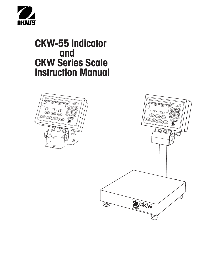

# **CKW-55 Indicator and CKW Series Scale Instruction Manual**



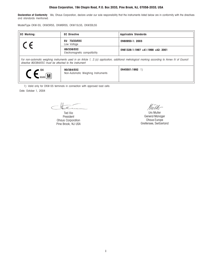#### **Ohaus Corporation, 19A Chapin Road, P.O. Box 2033, Pine Brook, NJ, 07058-2033, USA**

Declaration of Conformity We, Ohaus Corporation, declare under our sole responsibility that the instruments listed below are in conformity with the directives and standards mentioned.

Model/Type CKW-55, CKW3R55, CKW6R55, CKW15L55, CKW30L55

| <b>EC Marking:</b>                                                                                                                                                                                          | <b>EC Directive</b>                              | <b>Applicable Standards</b>       |  |  |  |
|-------------------------------------------------------------------------------------------------------------------------------------------------------------------------------------------------------------|--------------------------------------------------|-----------------------------------|--|--|--|
| $\epsilon$                                                                                                                                                                                                  | <b>EU 73/23/EEC</b><br>Low Voltage               | EN60950-1: 2003                   |  |  |  |
|                                                                                                                                                                                                             | 89/336/EEC<br>Electromagnetic compatibility      | EN61326-1:1997 +A1:1998 +A2: 2001 |  |  |  |
| For non-automatic weighing instruments used in an Article 1, 2.(a) application, additional metrological marking according to Annex IV of Council<br>directive 90/384/EEC must be attached to the instrument |                                                  |                                   |  |  |  |
| $C_{\text{0103}}$ M                                                                                                                                                                                         | 90/384/EEC<br>Non-Automatic Weighing Instruments | EN45501:1992 1)                   |  |  |  |

1) Valid only for CKW-55 terminals in connection with approved load cells

Date: October 1, 2004

te

Ted Xia President Ohaus Corporation Pine Brook, NJ USA

Mutter

Urs Muller General Manager Ohaus Europe Greifensee, Switzerland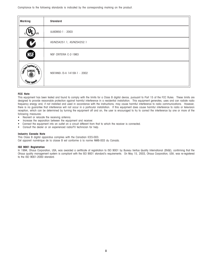Compliance to the following standards is indicated by the corresponding marking on the product.

| <b>Marking</b>                            | <b>Standard</b>              |
|-------------------------------------------|------------------------------|
| US.                                       | UL60950-1: 2003              |
| $\boldsymbol{\nu}$                        | AS/NZS4251.1, AS/NZS4252.1   |
| NSF.                                      | NSF CRITERIA C-2-1983        |
| United States<br>人名兰兰<br><b>USDA</b><br>ä | NSF/ANSI /3-A 14159-1 - 2002 |

#### **FCC Note**

This equipment has been tested and found to comply with the limits for a Class B digital device, pursuant to Part 15 of the FCC Rules. These limits are designed to provide reasonable protection against harmful interference in a residential installation. This equipment generates, uses and can radiate radio frequency energy and, if not installed and used in accordance with the instructions, may cause harmful interference to radio communications. However, there is no guarantee that interference will not occur in a particular installation. If this equipment does cause harmful interference to radio or television reception, which can be determined by turning the equipment off and on, the user is encouraged to try to correct the interference by one or more of the following measures:

- Reorient or relocate the receiving antenna.
- Increase the separation between the equipment and receiver.
- Connect the equipment into an outlet on a circuit different from that to which the receiver is connected.
- Consult the dealer or an experienced radio/TV technician for help.

#### **Industry Canada Note**

This Class B digital apparatus complies with the Canadian ICES-003.

Cet appareil numérique de la classe B est conforme à la norme NMB-003 du Canada.

#### **ISO 9001 Registration**

In 1994, Ohaus Corporation, USA, was awarded a certificate of registration to ISO 9001 by Bureau Veritus Quality International (BVQI), confirming that the Ohaus quality management system is compliant with the ISO 9001 standard's requirements. On May 15, 2003, Ohaus Corporation, USA, was re-registered to the ISO 9001:2000 standard.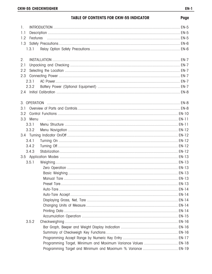# **TABLE OF CONTENTS FOR CKW-55 INDICATOR**

| $\mathbf{L}$ |       |                                                                |  |
|--------------|-------|----------------------------------------------------------------|--|
| 1.1          |       |                                                                |  |
| 1.2          |       |                                                                |  |
| 1.3          |       |                                                                |  |
|              | 1.3.1 |                                                                |  |
| 2.           |       |                                                                |  |
| 2.1          |       |                                                                |  |
| 2.2          |       |                                                                |  |
| 2.3          |       |                                                                |  |
|              | 2.3.1 |                                                                |  |
|              | 2.3.2 |                                                                |  |
|              |       |                                                                |  |
|              |       |                                                                |  |
| 3.1          |       |                                                                |  |
| 3.2          |       |                                                                |  |
| 3.3          | Menu  |                                                                |  |
|              | 3.3.1 |                                                                |  |
|              | 3.3.2 |                                                                |  |
|              |       |                                                                |  |
|              | 3.4.1 |                                                                |  |
|              | 3.4.2 |                                                                |  |
|              | 3.4.3 |                                                                |  |
|              |       |                                                                |  |
|              | 3.5.1 |                                                                |  |
|              |       |                                                                |  |
|              |       |                                                                |  |
|              |       |                                                                |  |
|              |       |                                                                |  |
|              |       |                                                                |  |
|              |       |                                                                |  |
|              |       |                                                                |  |
|              |       |                                                                |  |
|              |       |                                                                |  |
|              |       |                                                                |  |
|              | 3.5.2 |                                                                |  |
|              |       |                                                                |  |
|              |       |                                                                |  |
|              |       |                                                                |  |
|              |       | Programming Target, Minimum and Maximum Variance Values  EN-18 |  |
|              |       |                                                                |  |

Page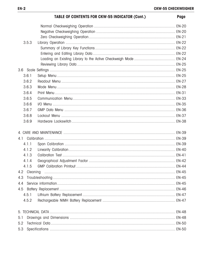| <b>TABLE OF CONTENTS FOR CKW-55 INDICATOR (Cont.)</b> | Page |
|-------------------------------------------------------|------|
|                                                       |      |
|                                                       |      |
|                                                       |      |
| 3.5.3                                                 |      |
|                                                       |      |
|                                                       |      |
|                                                       |      |
|                                                       |      |
|                                                       |      |
| 3.6.1                                                 |      |
| 3.6.2                                                 |      |
| 3.6.3                                                 |      |
| 3.6.4                                                 |      |
| 3.6.5                                                 |      |
| 3.6.6                                                 |      |
| 3.6.7                                                 |      |
| 3.6.8                                                 |      |
| 3.6.9                                                 |      |
|                                                       |      |
|                                                       |      |
| 4.1.1                                                 |      |
| 4.1.2                                                 |      |
| 4.1.3                                                 |      |
| 4.1.4                                                 |      |
| 4.1.5                                                 |      |
| 4.2                                                   |      |
| 4.3                                                   |      |
| 4.4                                                   |      |
| 4.5                                                   |      |
| 4.5.1                                                 |      |
| 4.5.2                                                 |      |
|                                                       |      |
| 5.1                                                   |      |
| 5.2                                                   |      |
| 5.3                                                   |      |
|                                                       |      |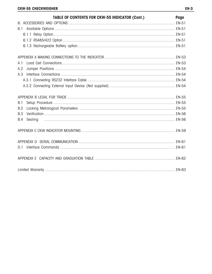| <b>TABLE OF CONTENTS FOR CKW-55 INDICATOR (Cont.)</b> | Page |
|-------------------------------------------------------|------|
|                                                       |      |
|                                                       |      |
|                                                       |      |
|                                                       |      |
|                                                       |      |
|                                                       |      |
| A.1                                                   |      |
| A.2                                                   |      |
| A.3                                                   |      |
|                                                       |      |
|                                                       |      |
|                                                       |      |
| B.1                                                   |      |
| <b>B.2</b>                                            |      |
| B.3                                                   |      |
| B.4                                                   |      |
|                                                       |      |
|                                                       |      |
| D <sub>1</sub>                                        |      |
|                                                       |      |
|                                                       |      |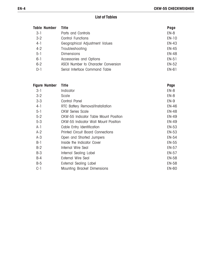# **List of Tables**

| Table Number | <b>Title</b>                         | Page         |
|--------------|--------------------------------------|--------------|
| $3-1$        | Parts and Controls                   | $EN-8$       |
| $3-2$        | Control Functions                    | EN-10        |
| $4-1$        | Geographical Adjustment Values       | <b>EN-43</b> |
| $4 - 2$      | Troubleshooting                      | <b>EN-45</b> |
| $5-1$        | <b>Dimensions</b>                    | <b>EN-48</b> |
| $6-1$        | Accessories and Options              | EN-51        |
| $6 - 2$      | ASCII Number to Character Conversion | <b>EN-52</b> |
| $D-1$        | Serial Interface Command Table       | EN-61        |
|              |                                      |              |

| <b>Figure Number</b> | <b>Title</b>                             | Page         |
|----------------------|------------------------------------------|--------------|
| $3-1$                | Indicator                                | $EN-8$       |
| $3-2$                | Scale                                    | $EN-8$       |
| $3 - 3$              | Control Panel                            | $EN-9$       |
| $4-1$                | RTC Battery Removal/Installation         | <b>EN-46</b> |
| $5-1$                | CKW Series Scale                         | <b>EN-48</b> |
| $5-2$                | CKW-55 Indicator Table Mount Position    | <b>EN-49</b> |
| $5 - 3$              | CKW-55 Indicator Wall Mount Position     | <b>EN-49</b> |
| $A-1$                | Cable Entry Identification               | <b>EN-53</b> |
| $A-2$                | <b>Printed Circuit Board Connections</b> | <b>EN-53</b> |
| $A-3$                | Open and Shorted Jumpers                 | <b>EN-54</b> |
| $B-1$                | Inside the Indicator Cover               | <b>EN-55</b> |
| $B-2$                | Internal Wire Seal                       | <b>EN-57</b> |
| $B-3$                | Internal Sealing Label                   | <b>EN-57</b> |
| $B-4$                | <b>External Wire Seal</b>                | <b>EN-58</b> |
| $B-5$                | External Sealing Label                   | <b>EN-58</b> |
| C-1                  | Mounting Bracket Dimensions              | <b>EN-60</b> |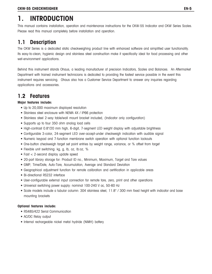# **1. INTRODUCTION**

This manual contains installation, operation and maintenance instructions for the CKW-55 Indicator and CKW Series Scales. Please read this manual completely before installation and operation.

# **1.1 Description**

The CKW Series is a dedicated static checkweighing product line with enhanced software and simplified user functionality. Its easy-to-clean, hygienic design and stainless steel construction make it specifically ideal for food processing and other wet-environment applications.

Behind this instrument stands Ohaus, a leading manufacturer of precision Indicators, Scales and Balances. An Aftermarket Department with trained instrument technicians is dedicated to providing the fastest service possible in the event this instrument requires servicing. Ohaus also has a Customer Service Department to answer any inquiries regarding applications and accessories.

# **1.2 Features**

### **Major features include:**

- Up to 20,000 maximum displayed resolution
- Stainless steel enclosure with NEMA 4X / IP66 protection
- Stainless steel 2-way table/wall mount bracket included, (Indicator only configuration)
- Supports up to four 350 ohm analog load cells
- High-contrast 0.8"/20 mm high, 6-digit, 7-segment LED weight display with adjustable brightness
- Configurable 3-color, 24-segment LED over-accept-under checkweigh indication with audible signal
- Numeric keypad and 7-function membrane switch operation with optional function lockouts
- One-button checkweigh target set point entries by weight range, variance, or % offset from target
- Flexible unit switching: kg, g, lb, oz, lb:oz, %
- Fast < 2-second display update speed
- 20-part library storage for: Product ID no., Minimum, Maximum, Target and Tare values
- GMP, Time/Date, Auto-Tare, Accumulation, Average and Standard Deviation
- Geographical adjustment function for remote calibration and certification in applicable areas
- Bi-directional RS232 interface
- User-configurable external input connection for remote tare, zero, print and other operations
- Universal switching power supply: nominal 100-240 V ac, 50-60 Hz
- Scale models include a tubular column: 304 stainless steel, 11.8" / 300 mm fixed height with indicator and base mounting brackets

#### **Optional features include:**

- RS485/422 Serial Communication
- AC/DC Relay output
- Internal rechargeable nickel metal hydride (NiMH) battery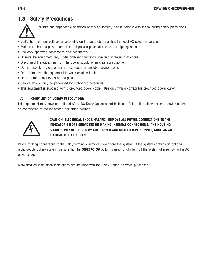# **1.3 Safety Precautions**



For safe and dependable operation of this equipment, please comply with the following safety precautions:

- Verify that the input voltage range printed on the data label matches the local AC power to be used.
- Make sure that the power cord does not pose a potential obstacle or tripping hazard.
- Use only approved accessories and peripherals.
- Operate the equipment only under ambient conditions specified in these instructions.
- Disconnect the equipment from the power supply when cleaning equipment .
- Do not operate the equipment in hazardous or unstable environments.
- Do not immerse the equipment in water or other liquids.
- Do not drop heavy loads on the platform.
- Service should only be performed by authorized personnel.
- This equipment is supplied with a grounded power cable. Use only with a compatible grounded power outlet.

### **1.3.1 Relay Option Safety Precautions**

This equipment may have an optional AC or DC Relay Option board installed. This option allows external device control to be coordinated to the Indicator's bar graph settings.



### **CAUTION: ELECTRICAL SHOCK HAZARD. REMOVE ALL POWER CONNECTIONS TO THE INDICATOR BEFORE SERVICING OR MAKING INTERNAL CONNECTIONS. THE HOUSING SHOULD ONLY BE OPENED BY AUTHORIZED AND QUALIFIED PERSONNEL, SUCH AS AN ELECTRICAL TECHNICIAN.**

Before making connections to the Relay terminals, remove power from the system. If the system contains an optional rechargeable battery system, be sure that the **ON/ZERO Off** button is used to fully turn off the system after removing the AC power plug.

More detailed installation instructions are included with the Relay Option Kit when purchased.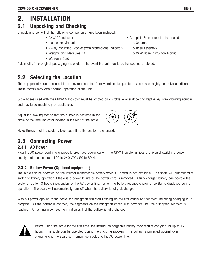# **2. INSTALLATION**

# **2.1 Unpacking and Checking**

Unpack and verify that the following components have been included:

- 
- Instruction Manual **o Column**
- 2-way Mounting Bracket (with stand-alone indicator) o Base Assembly
- 
- Warranty Card
- Retain all of the original packaging materials in the event the unit has to be transported or stored.

# **2.2 Selecting the Location**

This equipment should be used in an environment free from vibration, temperature extremes or highly corrosive conditions. These factors may affect normal operation of the unit.

Scale bases used with the CKW-55 Indicator must be located on a stable level surface and kept away from vibrating sources such as large machinery or appliances.

Adjust the leveling feet so that the bubble is centered in the circle of the level indicator located in the rear of the scale.

**Note**: Ensure that the scale is level each time its location is changed.

# **2.3 Connecting Power**

### **2.3.1 AC Power**

Plug the AC power cord into a properly grounded power outlet. The CKW Indicator utilizes a universal switching power supply that operates from 100 to 240 VAC / 50 to 60 Hz.

### **2.3.2 Battery Power (Optional equipment)**

The scale can be operated on the internal rechargeable battery when AC power is not available. The scale will automatically switch to battery operation if there is a power failure or the power cord is removed. A fully charged battery can operate the scale for up to 10 hours independent of the AC power line. When the battery requires charging, Lo Bat is displayed during operation. The scale will automatically turn off when the battery is fully discharged.

With AC power applied to the scale, the bar graph will start flashing on the first yellow bar segment indicating charging is in progress. As the battery is charged, the segments on the bar graph continue to advance until the first green segment is reached. A flashing green segment indicates that the battery is fully charged.



Before using the scale for the first time, the internal rechargeable battery may require charging for up to 12 hours. The scale can be operated during the charging process. The battery is protected against over charging and the scale can remain connected to the AC power line.



- 
- 
- Weights and Measures Kit **o CKW Base Instruction Manual**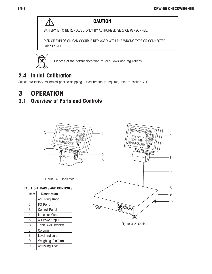# **CAUTION**

BATTERY IS TO BE REPLACED ONLY BY AUTHORIZED SERVICE PERSONNEL.

RISK OF EXPLOSION CAN OCCUR IF REPLACED WITH THE WRONG TYPE OR CONNECTED IMPROPERLY.



Dispose of the battery according to local laws and regulations.

# **2.4 Initial Calibration**

Scales are factory calibrated prior to shipping. If calibration is required, refer to section 4.1.

# **3 OPERATION**

# **3.1 Overview of Parts and Controls**



Figure 3-1. Indicator.

#### **TABLE 3-1. PARTS AND CONTROLS.**

| <b>Item</b> | <b>Description</b>        |  |  |
|-------------|---------------------------|--|--|
| 1           | Adjusting Knob            |  |  |
| 2           | I/O Ports                 |  |  |
| 3           | Control Panel             |  |  |
| 4           | Indicator Case            |  |  |
| 5           | <b>AC Power Input</b>     |  |  |
| 6           | <b>Table/Wall Bracket</b> |  |  |
| 7           | Column                    |  |  |
| 8           | Level Indicator           |  |  |
| 9           | Weighing Platform         |  |  |
| 10          | Adjusting Feet            |  |  |



Figure 3-2. Scale.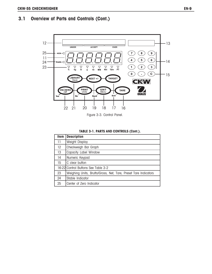# **3.1 Overview of Parts and Controls (Cont.)**



Figure 3-3. Control Panel.

#### **TABLE 3-1. PARTS AND CONTROLS (Cont.).**

| <b>Item</b>       | <b>Description</b>                                              |
|-------------------|-----------------------------------------------------------------|
| 11                | Weight Display                                                  |
| $12 \overline{ }$ | Checkweigh Bar Graph                                            |
| 13                | Capacity Label Window                                           |
| 14                | Numeric Keypad                                                  |
| 15                | C clear button                                                  |
|                   | 16-22 Control Buttons See Table 3-2                             |
| 23                | Weighing Units, Brutto/Gross, Net, Tare, Preset Tare Indicators |
| 24                | Stable Indicator                                                |
| 25                | Center of Zero Indicator                                        |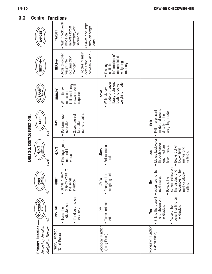TABLE 3-2. CONTROL FUNCTIONS. **TABLE 3-2. CONTROL FUNCTIONS.**

Λ

# **3.2 Control Functions**

| DNILOI                                                             | unchons                                                                                                                                                     |                                                                                                          |                                                                                                                                                                            |
|--------------------------------------------------------------------|-------------------------------------------------------------------------------------------------------------------------------------------------------------|----------------------------------------------------------------------------------------------------------|----------------------------------------------------------------------------------------------------------------------------------------------------------------------------|
| <b>TARGET</b>                                                      | With checkweigh<br>Saves and steps<br>view/entry/edit<br>initiates target<br>through target<br><b>TARGET</b><br>sequence.<br>mode on,<br>data.<br>$\bullet$ |                                                                                                          |                                                                                                                                                                            |
| NEXT +/-                                                           | between + and -.<br>Toggles numeric<br>Adds displayed<br>accumulation<br>NEXT+/-<br>weight into<br>data entry<br>memory.<br>$\bullet$                       | information of<br>accumulated<br>weighing<br>statistical<br>memory.<br><b>Displays</b>                   |                                                                                                                                                                            |
| LIBRARY<br>Save                                                    | initiates library<br>view/entry/edit<br>With Library<br>LIBRARY<br>sequence.<br>mode on,<br>$\bullet$                                                       | mode on, saves<br>library data and<br>weighing mode.<br>loads to active<br>• With Library<br><b>Save</b> |                                                                                                                                                                            |
| TARE<br>Exit                                                       | numeric entry.<br>Performs tare<br>Saves pre-set<br>operation.<br>TARE<br>tare after<br>$\bullet$                                                           |                                                                                                          | mode and returns<br>Exits the present<br>weighing mode.<br>directly to the<br>Exit                                                                                         |
| <b>GINIT</b><br>Menu<br><b>Back</b>                                | Displays gross,<br>net and tare<br><b>GNT</b><br>values.<br>$\bullet$                                                                                       | • Enters menu<br>Menu<br>mode.                                                                           | Moves backwards<br>through upper<br>and medium<br>Backs out of<br>level menus.<br>menus and<br>lower level<br><b>Back</b><br>settings.<br>$\bullet$<br>$\bullet$           |
| PRINT<br>Units<br>`9                                               | $\frac{1}{2}$<br>Sends current<br>display value<br><b>PRINT</b><br>the serial<br>interface.                                                                 | weighing unit<br>• Changes the<br>Units                                                                  | $\overline{5}$<br>ΔÅ<br>은<br>the display and<br>current setting<br>next available<br>advances to t<br>• Advances to<br>next menu.<br>• Rejects the<br><u>ខ</u><br>setting. |
| ON/ZERO                                                            | • If indicator is on,<br>indicator on.<br><b>ON/ZERO</b><br>• Turns the<br>sets zero.                                                                       | • Turns indicator<br>Off<br>off.                                                                         | Enters the current<br>current setting on<br>menu shown on<br>the display.<br>Accepts the<br>the display.<br><b>Yes</b><br>$\bullet$                                        |
| Navigation Function-ves<br>Primary Function-<br>Secondary Function | Primary Function<br>(Short Press)                                                                                                                           | Secondary Function<br>(Long Press)                                                                       | Navigation Function<br>(Menu Mode)                                                                                                                                         |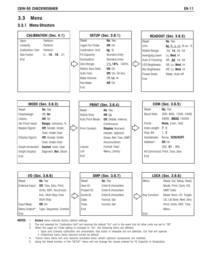# **3.3 Menu**

### **3.3.1 Menu Structure**

| <b>CALIBRATION (Sec. 4.1)</b> |                             |  |                   | <b>SETUP (Sec. 3.6.1)</b> |                   | <b>READOUT (Sec. 3.6.2)</b>    |
|-------------------------------|-----------------------------|--|-------------------|---------------------------|-------------------|--------------------------------|
| Span                          | Perform                     |  | Reset:            | No, Yes                   | Reset:            | No, Yes                        |
| Linearity                     | Perform                     |  | Legal-For-Trade:  | Off, On                   | Unit:             | kg, lb, g, oz, lb:oz, %        |
| <b>Calibration Test</b>       | Perform                     |  | Calibration Unit: | kg, lb                    | Stable Range:     | .5d, 1d, 2d, 5d                |
| Geo Factor:                   | 0161931                     |  | FS Capacity:      | Numeric Entry             | Averaging Level:  | Lo, Med, Hi                    |
| End                           |                             |  | Graduation:       | Numeric Entry             | Auto-O Tracking:  | Off, .5d, 1d, 3d               |
|                               |                             |  | Zero Range:       | 2%, 18%, 100%             | LED Brightness:   | Off, Lo, Med, Hi               |
|                               |                             |  | Retain Zero Data: | Off, On                   | Bar Brightness:   | Off, Lo, Med, Hi               |
|                               |                             |  | Auto-Tare:        | Off, On, On Acc           | Power Saver:      | Sleep, Auto-off                |
|                               |                             |  | Beep Volume:      | Off, Lo, Hi               | End               |                                |
|                               |                             |  | Key Beep:         | Off, On                   |                   |                                |
|                               |                             |  | End               |                           |                   |                                |
|                               | MODE (Sec. 3.6.3)           |  |                   | <b>PRINT (Sec. 3.6.4)</b> |                   |                                |
|                               |                             |  |                   |                           |                   | COM (Sec. 3.6.5)               |
| Reset:                        | No, Yes                     |  | Reset:            | No, Yes                   | Reset:            | No, Yes                        |
| Checkweigh:                   | Off, On                     |  | Stable Only:      | Off, $On$                 | <b>Baud Rate:</b> | 300, 600, 1200, 2400,          |
| Library:                      | Off, On                     |  | Auto Print Mode:  | Off, Stable, Interval,    |                   | 4800, 9600, 19200              |
| Set Point Input:              | Range, Variance, %          |  |                   | Continuous                | Parity:           | None, Even, Odd                |
| Beeper Signal:                | Off, Accept, Under,         |  | Print Content:    | Display, Numeric,         | Data Length: 7, 8 |                                |
|                               | Over, Under-Over            |  |                   | Header, Setpoint,         | Stop Bit:         | 1, 2                           |
| Display Signal:               | <b>Off</b> , Accept, Under, |  |                   | Gross, Net, Tare, GMP,    | Handshake:        | None, XON/XOFF                 |
|                               | Over, Under-Over            |  |                   | Accumulation              | Address*:         | Off, On                        |
| Graph Increment:              | Scaled, Auto, User          |  | Layout:           | Format, Feed              |                   | (00, 0199)                     |
| Graph Display:                | Segment, Bar, Block         |  | List:             | Menu, Library             |                   | Alt Command: Print, Tare, Zero |
| End                           |                             |  | End               |                           | End               |                                |
|                               |                             |  |                   |                           |                   |                                |
|                               |                             |  |                   |                           |                   |                                |
|                               |                             |  |                   |                           |                   |                                |

| $I/O$ (Sec. 3.6.6) |                                 |             | GMP (Sec. 3.6.7)   |               | LOCK (Sec. 3.6.8)          |
|--------------------|---------------------------------|-------------|--------------------|---------------|----------------------------|
| Reset:             | No. Yes                         | Reset:      | No. Yes            | l Menu:       | Reset, Cal, Setup, Read,   |
| External Input:    | <b>Off</b> , Tare, Zero, Print, | User $ID:$  | Enter 6 characters |               | Mode, Print, Com, I/O,     |
|                    | Units, GNT, Accumula-           | Project ID: | Enter 6 characters |               | <b>GMP</b> Data            |
|                    | tion, Start-Stop, Tare-         | Scale ID:   | Enter 6 characters | Key Function: | Reset, Num, Clr, Target,   |
|                    | Start-Stop                      | Date:       | Format, Set        |               | Lib, Lib Save, Next, Zero, |
| Input Beep:        | <b>Off</b> , On                 | Time:       | Format, Set        |               | Print, Units, GNT, Tare,   |
| Relay Output*:     | Type, Sequence, Contact         | End         |                    |               | Menu                       |
| End                |                                 |             |                    | l End         |                            |

**NOTES**: 1. **Bolded** items indicate factory default settings.

2. The unit selected for "Calibration Unit" will become the default "On" unit in the event that all other units are set to "Off".

3. When the Legal for Trade setting is changed to "On", the following items are affected:

- i. Span and Linearity calibration are unavailable, Geo factor is viewable but not alterable, Cal Test will operate. ii. Underlined menu items become forced as default.
- 4. \*Some menu items will only become available when certain optional accessories are installed.
- 5. Using the Reset function in the "SETUP" menu will not change the values entered for FS Capacity or Graduation.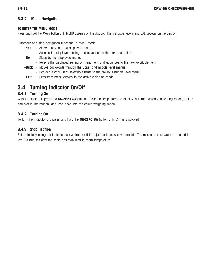# **3.3.2 Menu Navigation**

#### **TO ENTER THE MENU MODE**

Press and hold the **Menu** button until MENU appears on the display. The first upper level menu CAL appears on the display.

Summary of button navigation functions in menu mode:

- --**Yes** Allows entry into the displayed menu.
	- Accepts the displayed setting and advances to the next menu item.
- --**No** Skips by the displayed menu.
	- Rejects the displayed setting or menu item and advances to the next available item.
- --**Back** Moves backwards through the upper and middle level menus.
	- Backs out of a list of selectable items to the previous middle level menu.
- --**Exit** Exits from menu directly to the active weighing mode.

# **3.4 Turning Indicator On/Off**

# **3.4.1 Turning On**

With the scale off, press the **ON/ZERO Off** button. The Indicator performs a display-test, momentarily indicating model, option and status information, and then goes into the active weighing mode.

# **3.4.2 Turning Off**

To turn the Indicator off, press and hold the **ON/ZERO Off** button until OFF is displayed.

# **3.4.3 Stabilization**

Before initially using the indicator, allow time for it to adjust to its new environment. The recommended warm-up period is five (5) minutes after the scale has stabilized to room temperature.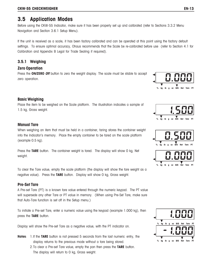# **3.5 Application Modes**

Before using the CKW-55 Indicator, make sure it has been properly set up and calibrated (refer to Sections 3.3.2 Menu Navigation and Section 3.6.1 Setup Menu).

If the unit is received as a scale, it has been factory calibrated and can be operated at this point using the factory default settings. To ensure optimal accuracy, Ohaus recommends that the Scale be re-calibrated before use (refer to Section 4.1 for Calibration and Appendix B Legal for Trade Sealing if required).

### **3.5.1 Weighing**

#### **Zero Operation**

Press the **ON/ZERO Off** button to zero the weight display. The scale must be stable to accept zero operation.

### **Basic Weighing**

Place the item to be weighed on the Scale platform. The illustration indicates a sample of 1.5 kg, Gross weight.

#### **Manual Tare**

When weighing an item that must be held in a container, taring stores the container weight into the Indicator's memory. Place the empty container to be tared on the scale platform (example 0.5 kg).

Press the **TARE** button. The container weight is tared. The display will show 0 kg, Net weight.

To clear the Tare value, empty the scale platform (the display will show the tare weight as a negative value). Press the **TARE** button. Display will show 0 kg, Gross weight.

#### **Pre-Set Tare**

A Pre-set Tare (PT) is a known tare value entered through the numeric keypad. The PT value will supersede any other Tare or PT value in memory. (When using Pre-Set Tare, make sure that Auto-Tare function is set off in the Setup menu.)

To initiate a Pre-set Tare, enter a numeric value using the keypad (example 1.000 kg), then press the **TARE** button.

Display will show the Pre-set Tare as a negative value, with the PT indicator on.

- **Notes**: 1.If the **TARE** button is not pressed 5 seconds from the last numeric entry, the display returns to the previous mode without a tare being stored.
	- 2.To clear a Pre-set Tare value, empty the pan then press the **TARE** button. The display will return to 0 kg, Gross weight.







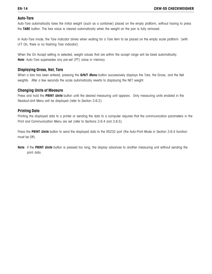#### **Auto-Tare**

Auto-Tare automatically tares the initial weight (such as a container) placed on the empty platform, without having to press the **TARE** button. The tare value is cleared automatically when the weight on the pan is fully removed.

In Auto-Tare mode, the Tare indicator blinks when waiting for a Tare item to be placed on the empty scale platform (with LFT On, there is no flashing Tare indicator).

When the On Accept setting is selected, weight values that are within the accept range will be tared automatically. **Note**: Auto-Tare supersedes any pre-set (PT) value in memory.

#### **Displaying Gross, Net, Tare**

When a tare has been entered, pressing the **G/N/T Menu** button successively displays the Tare, the Gross, and the Net weights. After a few seconds the scale automatically reverts to displaying the NET weight.

#### **Changing Units of Measure**

Press and hold the **PRINT Units** button until the desired measuring unit appears. Only measuring units enabled in the Readout-Unit Menu will be displayed (refer to Section 3.6.2).

### **Printing Data**

Printing the displayed data to a printer or sending the data to a computer requires that the communication parameters in the Print and Communication Menu are set (refer to Sections 3.6.4 and 3.6.5).

Press the **PRINT Units** button to send the displayed data to the RS232 port (the Auto-Print Mode in Section 3.6.4 function must be Off).

**Note**: If the **PRINT Units** button is pressed too long, the display advances to another measuring unit without sending the print data.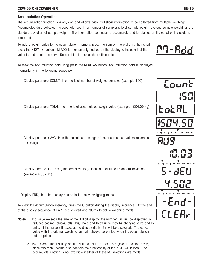#### **CKW-55 CHECKWEIGHER EN-15**

#### **Accumulation Operation**

The Accumulation function is always on and allows basic statistical information to be collected from multiple weighings. Accumulated data collected includes total count (or number of samples), total sample weight, average sample weight, and a standard deviation of sample weight. The information continues to accumulate and is retained until cleared or the scale is turned off.

To add a weight value to the Accumulation memory, place the item on the platform, then short press the **NEXT +/-** button. M-ADD is momentarily flashed on the display to indicate that the value is added into memory. Repeat this step for each additional item.

To view the Accumulation data, long press the **NEXT +/**- button. Accumulation data is displayed momentarily in the following sequence:

Display parameter COUNT, then the total number of weighed samples (example 150).

Display parameter TOTAL, then the total accumulated weight value (example 1504.05 kg).

Display parameter AVG, then the calculated average of the accumulated values (example 10.03 kg).

Display parameter S-DEV (standard deviation), then the calculated standard deviation (example 4.502 kg).

Display END, then the display returns to the active weighing mode.

To clear the Accumulation memory, press the **C** button during the display sequence. At the end of the display sequence, CLEAR is displayed and returns to active weighing mode.

- **Notes**: 1. If a value exceeds the size of the 6 digit display, the number will first be displayed in reduced decimal places, after this, the g and lb:oz units may be changed to kg and lb units. If the value still exceeds the display digits, Err will be displayed. The correct value with the original weighing unit will always be printed when the Accumulation data is printed.
	- 2. I/O- External Input setting should NOT be set to: S-S or T-S-S (refer to Section 3.6.6), since this menu setting also controls the functionality of the **NEXT +/-** button. The accumulate function is not available if either of these I/O selections are made.



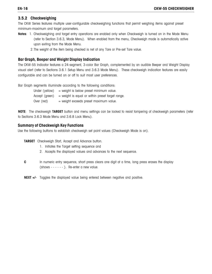#### **3.5.2 Checkweighing**

The CKW Series features multiple user-configurable checkweighing functions that permit weighing items against preset minimum-maximum and target parameters.

- **Notes**: 1. Checkweighing and target entry operations are enabled only when Checkweigh is turned on in the Mode Menu (refer to Section 3.6.3, Mode Menu). When enabled from the menu, Checkweigh mode is automatically active upon exiting from the Mode Menu.
	- 2.The weight of the item being checked is net of any Tare or Pre-set Tare value.

### **Bar Graph, Beeper and Weight Display Indication**

The CKW-55 Indicator features a 24-segment, 3-color Bar Graph, complemented by an audible Beeper and Weight Display visual alert (refer to Sections 3.6.1 Setup Menu and 3.6.3 Mode Menu). These checkweigh indication features are easily configurable and can be turned on or off to suit most user preferences.

Bar Graph segments illuminate according to the following conditions:

| Under (yellow) | $=$ weight is below preset minimum value.          |
|----------------|----------------------------------------------------|
| Accept (green) | $=$ weight is equal or within preset target range. |
| Over (red)     | $=$ weight exceeds preset maximum value.           |

**NOTE**: The checkweigh **TARGET** button and menu settings can be locked to resist tampering of checkweigh parameters (refer to Sections 3.6.3 Mode Menu and 3.6.8 Lock Menu).

### **Summary of Checkweigh Key Functions**

Use the following buttons to establish checkweigh set point values (Checkweigh Mode is on).

**TARGET** Checkweigh Start, Accept and Advance button.

- 1. Initiates the Target setting sequence and
- 2. Accepts the displayed values and advances to the next sequence.
- **C** In numeric entry sequence, short press clears one digit at a time, long press erases the display  $(shows - - - - -)$ . Re-enter a new value.
- **NEXT +/-** Toggles the displayed value being entered between negative and positive.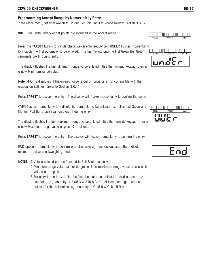#### **CKW-55 CHECKWEIGHER EN-17**

#### **Programming Accept Range by Numeric Key Entry**

In the Mode menu, set Checkweigh to On and Set Point Input to Range (refer to Section 3.6.3).

**NOTE**: The under and over set points are included in the Accept range.

Press the **TARGET** button to initiate check weigh entry sequence. UNDER flashes momentarily to indicate the first parameter to be entered. The last Yellow and the first Green Bar Graph segments are lit during entry.

The display flashes the last Minimum range value entered. Use the numeric keypad to enter a new Minimum range value.

**Note**: -NO- is displayed if the entered value is out of range or is not compatible with the graduation settings, (refer to Section 3.6.1).

Press **TARGET** to accept the entry. The display will freeze momentarily to confirm the entry.

OVER flashes momentarily to indicate the parameter to be entered next. The last Green and the first Red Bar graph segments are lit during entry.

The display flashes the last maximum range value entered. Use the numeric keypad to enter a new Maximum range value or press **C** to clear. .

Press TARGET to accept the entry. The display will freeze momentarily to confirm the entry.

END appears momentarily to confirm end of checkweigh entry sequence. The Indicator returns to active checkweighing mode.

**NOTES**: 1.Values entered can be from 1d to Full Scale capacity.

- 2.Minimum range value cannot be greater than maximum range value unless both values are negative.
- 3.For entry in the lb:oz units, the first decimal point entered is used as the lb oz separator, (eg. an entry of  $2.08.3 = 2$  lb  $8.3$  oz. At least one digit must be entered for the lb location, eg., an entry of  $0.15.9 = 0$  lb 15.9 oz.





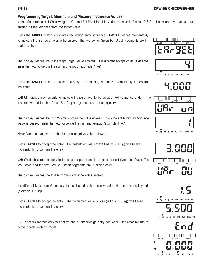#### **Programming Target, Minimum and Maximum Variance Values**

In the Mode menu, set Checkweigh to On and Set Point Input to Variance (refer to Section 3.6.3). Under and over values are entered as the variance from the target value.

Press the **TARGET** button to initiate checkweigh entry sequence. TARGET flashes momentarily to indicate the first parameter to be entered. The two center Green bar Graph segments are lit during entry.

The display flashes the last Accept Target value entered. If a different Accept value is desired, enter the new value via the numeric keypad (example 4 kg).

Press the TARGET button to accept the entry. The display will freeze momentarily to confirm the entry.

VAR UN flashes momentarily to indicate the parameter to be entered next (Variance-Under). The last Yellow and the first Green Bar Graph segments are lit during entry.

The display flashes the last Minimum Variance value entered. If a different Minimum Variance value is desired, enter the new value via the numeric keypad (example 1 kg).

**Note**: Variance values are absolute, no negative value allowed.

Press **TARGET** to accept the entry. The calculated value  $3.000$  (4 kg  $-1$  kg) will freeze momentarily to confirm the entry.

VAR OV flashes momentarily to indicate the parameter to be entered next (Variance-Over). The last Green and the first Red Bar Graph segments are lit during entry.

The display flashes the last Maximum Variance value entered.

If a different Maximum Variance value is desired, enter the new value via the numeric keypad (example 1.5 kg).

Press TARGET to accept the entry. The calculated value  $5.500$  (4 kg  $+ 1.5$  kg) will freeze momentarily to confirm the entry.

END appears momentarily to confirm end of checkweigh entry sequence. Indicator returns to active checkweighing mode.















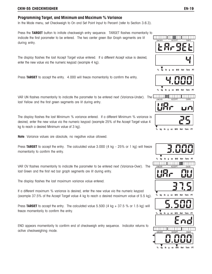### **Programming Target, and Minimum and Maximum % Variance**

In the Mode menu, set Checkweigh to On and Set Point Input to Percent (refer to Section 3.6.3).

Press the **TARGET** button to initiate checkweigh entry sequence. TARGET flashes momentarily to indicate the first parameter to be entered. The two center green Bar Graph segments are lit during entry.

The display flashes the last Accept Target value entered. If a different Accept value is desired, enter the new value via the numeric keypad (example 4 kg).

Press **TARGET** to accept the entry. 4.000 will freeze momentarily to confirm the entry.

VAR UN flashes momentarily to indicate the parameter to be entered next (Variance-Under). The last Yellow and the first green segments are lit during entry.

The display flashes the last Minimum % variance entered. If a different Minimum % variance is desired, enter the new value via the numeric keypad (example 25% of the Accept Target value 4 kg to reach a desired Minimum value of 3 kg).

**Note**: Variance values are absolute, no negative value allowed.

Press **TARGET** to accept the entry. The calculated value 3.000 (4 kg – 25% or 1 kg) will freeze momentarily to confirm the entry.

VAR OV flashes momentarily to indicate the parameter to be entered next (Variance-Over). The last Green and the first red bar graph segments are lit during entry.

The display flashes the last maximum variance value entered.

If a different maximum % variance is desired, enter the new value via the numeric keypad (example 37.5% of the Accept Target value 4 kg to reach a desired maximum value of 5.5 kg).

Press **TARGET** to accept the entry. The calculated value 5.500 (4 kg + 37.5 % or 1.5 kg) will freeze momentarily to confirm the entry.

END appears momentarily to confirm end of checkweigh entry sequence. Indicator returns to active checkweighing mode.





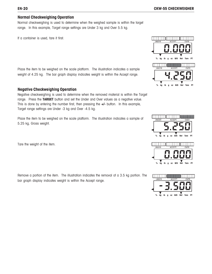#### **Normal Checkweighing Operation**

Normal checkweighing is used to determine when the weighed sample is within the target range. In this example, Target range settings are Under 3 kg and Over 5.5 kg.

If a container is used, tare it first.

Place the item to be weighed on the scale platform. The illustration indicates a sample weight of 4.25 kg. The bar graph display indicates weight is within the Accept range.

#### **Negative Checkweighing Operation**

Negative checkweighing is used to determine when the removed material is within the Target range. Press the **TARGET** button and set the Under and Over values as a negative value. This is done by entering the number first, then pressing the **+/-** button. In this example, Target range settings are Under -3 kg and Over -4.5 kg.

Place the item to be weighed on the scale platform. The illustration indicates a sample of 5.25 kg, Gross weight.

Tare the weight of the item.

Remove a portion of the item. The illustration indicates the removal of a 3.5 kg portion. The bar graph display indicates weight is within the Accept range.





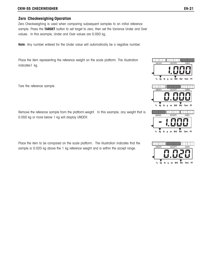#### **CKW-55 CHECKWEIGHER EN-21**

#### **Zero Checkweighing Operation**

Zero Checkweighing is used when comparing subsequent samples to an initial reference sample. Press the **TARGET** button to set target to zero, then set the Variance Under and Over values. In this example, Under and Over values are 0.050 kg.

**Note**: Any number entered for the Under value will automatically be a negative number.

Place the item representing the reference weight on the scale platform. The illustration indicates1 kg.

Tare the reference sample.

Remove the reference sample from the platform.weight. In this example, any weight that is 0.050 kg or more below 1 kg will display UNDER.

Place the item to be compared on the scale platform. The illustration indicates that the sample is 0.020 kg above the 1 kg reference weight and is within the accept range.



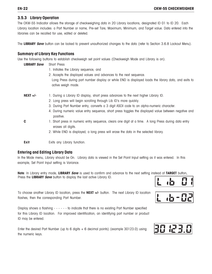#### **EN-22 CKW-55 CHECKWEIGHER**

#### **3.5.3 Library Operation**

The CKW-55 Indicator allows the storage of checkweighing data in 20 Library locations, designated ID 01 to ID 20. Each Library location includes: a Part Number or name, Pre-set Tare, Maximum, Minimum, and Target value. Data entered into the libraries can be recalled for use, edited or deleted.

The **LIBRARY Save** button can be locked to prevent unauthorized changes to the data (refer to Section 3.6.8 Lockout Menu).

#### **Summary of Library Key Functions**

Use the following buttons to establish checkweigh set point values (Checkweigh Mode and Library is on).

| <b>LIBRARY Save</b> | Short Press                                                                                                                |
|---------------------|----------------------------------------------------------------------------------------------------------------------------|
|                     | 1. Initiates the Library sequence, and                                                                                     |
|                     | 2. Accepts the displayed values and advances to the next sequence.                                                         |
|                     | Long Press during part number display or while END is displayed loads the library data, and exits to                       |
|                     | active weigh mode.                                                                                                         |
| $NEXT +/-$          | 1. During a Library ID display, short press advances to the next higher Library ID.                                        |
|                     | 2. Long press will begin scrolling through Lib ID's more quickly.                                                          |
|                     | 3. During Part Number entry, converts a 3 digit ASCII code to an alpha-numeric character.                                  |
|                     | 4. During numeric value entry sequence, short press toggles the displayed value between negative and<br>positive.          |
| C                   | 1. Short press in numeric entry sequence, clears one digit at a time. A long Press during data entry<br>erases all digits. |
|                     | 2. While END is displayed, a long press will erase the data in the selected library.                                       |
| Exit                | Exits any Library function.                                                                                                |

#### **Entering and Editing Library Data**

In the Mode menu, Library should be On. Library data is viewed in the Set Point Input setting as it was entered. In this example, Set Point Input setting is Variance.

**Note**: In Library entry mode, **LIBRARY Save** is used to confirm and advance to the next setting instead of **TARGET** button. Press the **LIBRARY Save** button to display the last active Library ID.

To choose another Library ID location, press the **NEXT +/-** button. The next Library ID location flashes, then the corresponding Part Number.

Display shows a flashing - - - - - - to indicate that there is no existing Part Number specified for this Library ID location. For improved identification, an identifying part number or product ID may be entered.

Enter the desired Part Number (up to 6 digits + 6 decimal points) (example 30123.0) using the numeric keys.

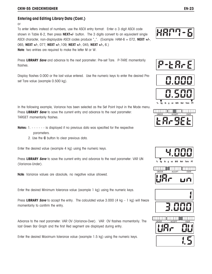# **Entering and Editing Library Data (Cont.)**

or

To enter letters instead of numbers, use the ASCII entry format: Enter a 3 digit ASCII code shown in Table 6-2, then press **NEXT+/**- button. The 3 digits convert to an equivalent single ASCII character, non-displayable ASCII codes produce "\_". (Example: HAM-6 = 072, **NEXT +/-**, 065, **NEXT +/-**, 077, **NEXT +/-**,109, **NEXT +/-**, 045, **NEXT +/-,** 6.) **Note**: two entries are required to make the letter M or W.

Press **LIBRARY Save** and advance to the next parameter: Pre-set Tare. P-TARE momentarily flashes.

Display flashes 0.000 or the last value entered. Use the numeric keys to enter the desired Preset Tare value (example 0.500 kg).

In the following example, Variance has been selected as the Set Point Input in the Mode menu. Press **LIBRARY Save** to save the current entry and advance to the next parameter: TARGET momentarily flashes.

- **Notes:** 1. - - - is displayed if no previous data was specified for the respective parameters.
	- 2. Use the **C** button to clear previous data.

Enter the desired value (example 4 kg) using the numeric keys.

Press **LIBRARY Save** to save the current entry and advance to the next parameter: VAR UN (Variance-Under).

Note: Variance values are absolute, no negative value allowed.

Enter the desired Minimum tolerance value (example 1 kg) using the numeric keys.

Press **LIBRARY Save** to accept the entry. The calculated value 3.000 (4 kg – 1 kg) will freeze momentarily to confirm the entry.

Advance to the next parameter: VAR OV (Variance-Over). VAR OV flashes momentarily. The last Green Bar Graph and the first Red segment are displayed during entry.

Enter the desired Maximum tolerance value (example 1.5 kg) using the numeric keys.











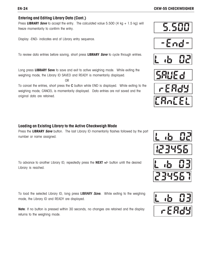5.500

### **Entering and Editing Library Data (Cont.)**

Press **LIBRARY Save** to accept the entry. The calculated value 5.500 (4 kg + 1.5 kg) will freeze momentarily to confirm the entry.

Display -END- indicates end of Library entry sequence.

To review data entries before saving, short press **LIBRARY Save** to cycle through entries.

Long press **LIBRARY Save** to save and exit to active weighing mode. While exiting the weighing mode, the Library ID SAVED and READY is momentarily displayed.

OR

To cancel the entries, short press the C button while END is displayed. While exiting to the weighing mode, CANCEL is momentarily displayed. Data entries are not saved and the original data are retained.

### **Loading an Existing Library to the Active Checkweigh Mode**

Press the **LIBRARY Save** button. The last Library ID momentarily flashes followed by the part number or name assigned.

To advance to another Library ID, repeatedly press the **NEXT +/-** button until the desired Library is reached.

To load the selected Library ID, long press LIBRARY Save. While exiting to the weighing mode, the Library ID and READY are displayed.

**Note**: If no button is pressed within 30 seconds, no changes are retained and the display returns to the weighing mode.













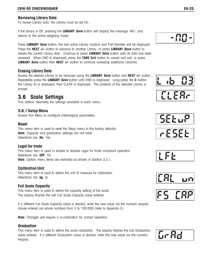#### **Reviewing Library Data**

To review Library data, the Library must be set On.

If the library is Off, pressing the **LIBRARY Save** button will display the message -NO-, and returns to the active weighing mode.

Press **LIBRARY Save** button, the last active Library location and Part Number will be displayed. Press the **NEXT +/-** button to advance to another Library, or press **LIBRARY Save** button to review the current Library data. Continue to press **LIBRARY Save** button until all data has been reviewed. When END is displayed, press the **TARE Exit** button to cancel and exit, or press **LIBRARY Save** button then **NEXT +/**- button to continue reviewing additional Libraries.

## **Erasing Library Data**

Access the desired Library to be removed using the **LIBRARY Save** button and **NEXT +/-** button. Repeatedly press the **LIBRARY Save** button until END is displayed. Long press the **C** button, the Library ID is displayed, then CLEAR is displayed. The contents of the selected Library is erased.

# **3.6 Scale Settings**

This section describes the settings available in each menu.

### **3.6.1 Setup Menu**

Access this Menu to configure metrological parameters.

#### **Reset**

This menu item is used to reset the Setup menu to the factory defaults. **Note**: Capacity and graduation settings are not reset. Selections are: **No**, Yes

### **Legal for trade**

This menu item is used to enable or disable Legal for trade compliant operation. Selections are: **OFF**, On. **Note**: Certain menu items are restricted as shown in Section 3.3.1.

### **Calibration Unit**

This menu item is used to define the unit of measure for calibration. Selections are: **kg**, lb.

### **Full Scale Capacity**

This menu item is used to define the capacity setting of the scale. The display flashes the last Full Scale Capacity value entered.

If a different Full Scale Capacity value is desired, enter the new value via the numeric keypad. Values entered are whole numbers from 3 to 100,000 (refer to Appendix E).

**Note**: Changes will require a re-calibration for correct operation.

#### **Graduation**

This menu item is used to define the scale readability. The display flashes the last Graduation value entered. If a different Graduation value is desired, enter the new value via the numeric keypad.















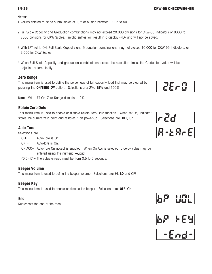#### **Notes**:

1.Values entered must be submultiples of 1, 2 or 5, and between .0005 to 50.

- 2.Full Scale Capacity and Graduation combinations may not exceed 20,000 divisions for CKW-55 Indicators or 6000 to 7500 divisions for CKW Scales. Invalid entries will result in a display -NO- and will not be saved.
- 3.With LFT set to ON, Full Scale Capacity and Graduation combinations may not exceed 10,000 for CKW-55 Indicators, or 3,000 for CKW Scales
- 4.When Full Scale Capacity and graduation combinations exceed the resolution limits, the Graduation value will be adjusted automatically.

### **Zero Range**

This menu item is used to define the percentage of full capacity load that may be cleared by pressing the **ON/ZERO Off** button. Selections are: 2%, **18%** and 100%.

**Note**: With LFT On, Zero Range defaults to 2%.

### **Retain Zero Data**

This menu item is used to enable or disable Retain Zero Data function. When set On, indicator stores the current zero point and restores it on power-up. Selections are: **OFF**, On.

# **Auto-Tare**

Selections are:

- $\mathbf{OFF} = \mathbf{A}$ uto-Tare is Off.
- $ON =$  Auto-tare is On.
- ON ACC= Auto-Tare On accept is enabled. When On Acc is selected, a delay value may be entered using the numeric keypad.
- $(0.5 5)$  = The value entered must be from 0.5 to 5 seconds.

### **Beeper Volume**

This menu item is used to define the beeper volume. Selections are: HI, **LO** and OFF.

### **Beeper Key**

This menu item is used to enable or disable the beeper. Selections are: **OFF**, ON.

#### **End**

Represents the end of the menu.











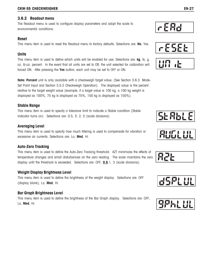### **3.6.2 Readout menu**

The Readout menu is used to configure display parameters and adopt the scale to environmental conditions.

### **Reset**

This menu item is used to reset the Readout menu to factory defaults. Selections are: **No**, Yes.

### **Units**

This menu item is used to define which units will be enabled for use. Selections are: **kg**, lb, g, oz, lb:oz, percent. In the event that all units are set to Off, the unit selected for calibration will forced ON. After pressing the **Yes** button, each unit may be set to OFF or ON.

**Note: Percent** unit is only available with a checkweigh target value. (See Section 3.6.3 Mode-Set Point Input and Section 3.5.2 Checkweigh Operation). The displayed value is the percent relative to the target weight value (example, if a target value is 100 kg, a 100 kg weight is displayed as 100%, 75 kg is displayed as 75%, 150 kg is displayed as 150%).

# **Stable Range**

This menu item is used to specify a tolerance limit to indicate a Stable condition (Stable indicator turns on). Selections are: 0.5, **1**, 2, 5 (scale divisions).

# **Averaging Level**

This menu item is used to specify how much filtering is used to compensate for vibration or excessive air currents. Selections are: Lo, **Med**, Hi.

### **Auto-Zero Tracking**

This menu item is used to define the Auto-Zero Tracking threshold. AZT minimizes the effects of temperature changes and small disturbances on the zero reading. The scale maintains the zero display until the threshold is exceeded. Selections are: OFF, **0.5**,1, 3 (scale divisions).

# **Weight Display Brightness Level**

This menu item is used to define the brightness of the weight display. Selections are: OFF (display blank), Lo, **Med**, Hi.

# **Bar Graph Brightness Level**

This menu item is used to define the brightness of the Bar Graph display. Selections are: OFF, Lo, **Med**, Hi.















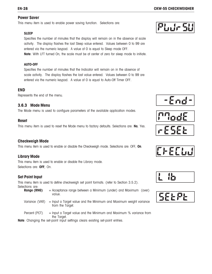#### **Power Saver**

This menu item is used to enable power saving function. Selections are:

#### **SLEEP**

Specifies the number of minutes that the display will remain on in the absence of scale activity. The display flashes the last Sleep value entered. Values between 0 to 99 are entered via the numeric keypad. A value of 0 is equal to Sleep mode OFF. **Note**: With LFT turned On, the scale must be at center of zero for sleep mode to initiate.

#### **AUTO-OFF**

Specifies the number of minutes that the Indicator will remain on in the absence of scale activity. The display flashes the last value entered. Values between 0 to 99 are entered via the numeric keypad. A value of 0 is equal to Auto-Off Timer OFF.

#### **END**

Represents the end of the menu.

### **3.6.3 Mode Menu**

The Mode menu is used to configure parameters of the available application modes.

#### **Reset**

This menu item is used to reset the Mode menu to factory defaults. Selections are: **No**, Yes.

#### **Checkweigh Mode**

This menu item is used to enable or disable the Checkweigh mode. Selections are: OFF, **On**.

#### **Library Mode**

This menu item is used to enable or disable the Library mode. Selections are: **OFF**, On.

#### **Set Point Input**

This menu item is used to define checkweigh set point formats. (refer to Section 3.5.2). Selections are:

| Range (RNG)    | $=$ Acceptance range between a Minimum (under) and Maximum (over)<br>value.            |
|----------------|----------------------------------------------------------------------------------------|
| Variance (VAR) | = Input a Target value and the Minimum and Maximum weight variance<br>from the Target. |

Percent (PCT)  $=$  Input a Target value and the Minimum and Maximum % variance from the Target.

**Note**: Changing the set-point input settings clears existing set-point entries.











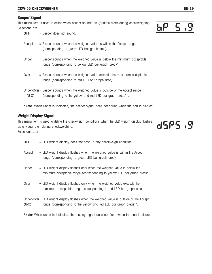#### **Beeper Signal**

This menu item is used to define when beeper sounds an (audible alert) during checkweighing. Selections are:

| <b>OFF</b> | $=$ Beeper does not sound.                                                                                                                      |
|------------|-------------------------------------------------------------------------------------------------------------------------------------------------|
| Accept     | $=$ Beeper sounds when the weighed value is within the Accept range<br>(corresponding to green LED bar graph area).                             |
| Under      | = Beeper sounds when the weighed value is below the minimum acceptable<br>range (corresponding to yellow LED bar graph area)*.                  |
| Over       | = Beeper sounds when the weighed value exceeds the maximum acceptable<br>range (corresponding to red LED bar graph area).                       |
| $(U-O)$    | Under-Over = Beeper sounds when the weighed value is outside of the Accept range<br>(corresponding to the yellow and red LED bar graph areas)*. |

**\*Note**: When under is indicated, the beeper signal does not sound when the pan is cleared.

#### **Weight Display Signal**

This menu item is used to define the checkweigh conditions when the LED weight display flashes as a visual alert during checkweighing. Selections are:

| <b>OFF</b> | $=$ LED weight display does not flash in any checkweigh condition.                                                                                           |
|------------|--------------------------------------------------------------------------------------------------------------------------------------------------------------|
| Accept     | $=$ LED weight display flashes when the weighed value is within the Accept<br>range (corresponding to green LED bar graph area).                             |
| Under      | = LED weight display flashes only when the weighed value is below the<br>minimum acceptable range (corresponding to yellow LED bar graph area)*.             |
| Over       | $=$ LED weight display flashes only when the weighed value exceeds the<br>maximum acceptable range (corresponding to red LED bar graph area).                |
| $(U-0)$    | Under-Over = LED weight display flashes when the weighed value is outside of the Accept<br>range (corresponding to the yellow and red LED bar graph areas)*. |

**\*Note**: When under is indicated, the display signal does not flash when the pan is cleared.



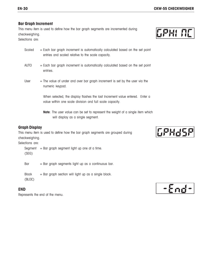#### **Bar Graph Increment**

This menu item is used to define how the bar graph segments are incremented during checkweighing.

Selections are:

- Scaled  $=$  Each bar graph increment is automatically calculated based on the set point entries and scaled relative to the scale capacity.
- $AUTO = Each bar graph increment is automatically calculated based on the set point$ entries.
- User  $=$  The value of under and over bar graph increment is set by the user via the numeric keypad.

When selected, the display flashes the last Increment value entered. Enter a value within one scale division and full scale capacity.

**Note**: The user value can be set to represent the weight of a single item which will display as a single segment.

### **Graph Display**

This menu item is used to define how the bar graph segments are grouped during checkweighing. Selections are:

Segment  $=$  Bar graph segment light up one at a time. (SEG)

Bar  $=$  Bar graph segments light up as a continuous bar.

Block  $=$  Bar graph section will light up as a single block. (BLOC)

#### **END**

Represents the end of the menu.



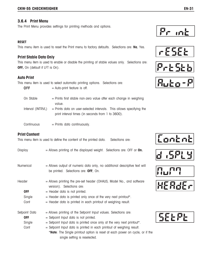### **3.6.4 Print Menu**

The Print Menu provides settings for printing methods and options.

#### **RESET**

This menu item is used to reset the Print menu to factory defaults. Selections are: **No**, Yes.

# **Print Stable Data Only**

This menu item is used to enable or disable the printing of stable values only. Selections are: **OFF,** On (default if LFT is On).

# **Auto Print**

This menu item is used to select automatic printing options. Selections are:

| <b>OFF</b>        | $=$ Auto-print feature is off.                                                                                            |
|-------------------|---------------------------------------------------------------------------------------------------------------------------|
| On Stable         | = Prints first stable non-zero value after each change in weighing<br>value.                                              |
| Interval (INTRVL) | = Prints data on user-selected intervals. This allows specifying the<br>print interval times (in seconds from 1 to 3600). |
| Continuous        | $=$ Prints data continuously.                                                                                             |

# **Print Content**

This menu item is used to define the content of the printed data. Selections are:

| Display                     | $=$ Allows printing of the displayed weight. Selections are: OFF or <b>On.</b>                                    |
|-----------------------------|-------------------------------------------------------------------------------------------------------------------|
| Numerical                   | = Allows output of numeric data only, no additional descriptive text will<br>be printed. Selections are: OFF, On. |
| Header                      | = Allows printing the pre-set header (OHAUS, Model No., and software<br>version). Selections are:                 |
| <b>OFF</b>                  | $=$ Header data is not printed.                                                                                   |
| Single                      | $=$ Header data is printed only once at the very next printout*.                                                  |
| Cont                        | = Header data is printed in each printout of weighing result.                                                     |
| Setpoint Data<br><b>OFF</b> | = Allows printing of the Setpoint Input values. Selections are:<br>$=$ Setpoint Input data is not printed.        |
| Single                      | $=$ Setpoint Input data is printed once only at the very next printout*.                                          |
| Cont                        | = Setpoint Input data is printed in each printout of weighing result.                                             |
|                             | *Note: The Single printout option is reset at each power on cycle, or if the<br>single setting is reselected.     |















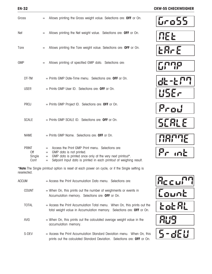| Gross                                 | Allows printing the Gross weight value. Selections are: OFF or On.<br>$=$                                                                                                                                                                    |
|---------------------------------------|----------------------------------------------------------------------------------------------------------------------------------------------------------------------------------------------------------------------------------------------|
| Net                                   | Allows printing the Net weight value. Selections are: OFF or On.<br>$=$                                                                                                                                                                      |
| Tare                                  | Allows printing the Tare weight value. Selections are: OFF or On.<br>$=$                                                                                                                                                                     |
| <b>GMP</b>                            | Allows printing of specified GMP data. Selections are:<br>$=$                                                                                                                                                                                |
| DT-TM                                 | $=$ Prints GMP Date-Time menu. Selections are: <b>OFF</b> or On.                                                                                                                                                                             |
| <b>USER</b>                           | = Prints GMP User ID. Selections are: OFF or On.                                                                                                                                                                                             |
| <b>PROJ</b>                           | $=$ Prints GMP Project ID. Selections are: <b>OFF</b> or On.                                                                                                                                                                                 |
| <b>SCALE</b>                          | = Prints GMP SCALE ID. Selections are: OFF or On.                                                                                                                                                                                            |
| <b>NAME</b>                           | $=$ Prints GMP Name. Selections are: <b>OFF</b> or On.                                                                                                                                                                                       |
| <b>PRINT</b><br>Off<br>Single<br>Cont | Access the Print GMP Print menu. Selections are:<br>$=$<br>GMP data is not printed.<br>$=$<br>GMP data is printed once only at the very next printout*.<br>$=$<br>Setpoint Input data is printed in each printout of weighing result.<br>$=$ |

\***Note**:The Single printout option is reset at each power on cycle, or if the Single setting is reselected.

| ACCUM        | $=$ Access the Print Accumulation Data menu. Selections are:                                                                                                |
|--------------|-------------------------------------------------------------------------------------------------------------------------------------------------------------|
| <b>COUNT</b> | $=$ When On, this prints out the number of weighments or events in<br>Accumulation memory. Selections are: OFF or On.                                       |
| TOTAL        | $=$ Access the Print Accumulation Total menu. When On, this prints out the<br>total weight value in Accumulation memory. Selections are: OFF or On.         |
| <b>AVG</b>   | = When On, this prints out the calculated average weight value in the<br>accumulation memory.                                                               |
| S-DFV        | $=$ Access the Print Accumulation Standard Deviation menu. When On, this<br>prints out the calculated Standard Deviation. Selections are: <b>OFF</b> or On. |























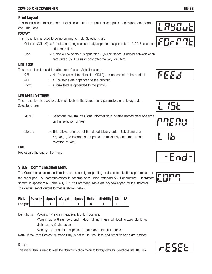#### **Print Layout**

This menu determines the format of data output to a printer or computer. Selections are: Format and Line Feed.

#### **FORMAT**

This menu item is used to define printing format. Selections are:

Column (COLUM) = A multi-line (single column style) printout is generated. A CRLF is added after each item.

Line  $= A$  single line printout is generated. (A TAB space is added between each item and a CRLF is used only after the very last item.

#### **LINE FEED**

This menu item is used to define form feeds. Selections are:

- **Off**  $=$  No feeds (except for default 1 CR/LF) are appended to the printout.
- $4LF = 4$  line feeds are appended to the printout.
- Form  $= A$  form feed is appended to the printout.

### **List Menu Settings**

This menu item is used to obtain printouts of the stored menu parameters and library data.. Selections are:

MENU = Selections are: **No,** Yes, (the information is printed immediately one time on the selection of Yes.

Library  $=$  This allows print out of the stored Library data. Selections are: **No**, Yes, (the information is printed immediately one time on the selection of Yes).

#### **END**

Represents the end of the menu.

#### **3.6.5 Communication Menu**

The Communication menu item is used to configure printing and communications parameters of the serial port. All communication is accomplished using standard ASCII characters. Characters shown in Appendix A, Table A-1, RS232 Command Table are acknowledged by the indicator. The default serial output format is shown below.

|         |  |  | Field: Polarity   Space   Weight   Space   Units   Stability   CR   LF |  |
|---------|--|--|------------------------------------------------------------------------|--|
| Length: |  |  |                                                                        |  |

Definitions: Polarity, "-" sign if negative, blank if positive.

Weight, up to 6 numbers and 1 decimal, right justified, leading zero blanking. Units, up to 5 characters.

Stability, "?" character is printed if not stable, blank if stable.

**Note**: If the Print Content-Numeric Only is set to On, the Units and Stability fields are omitted.

#### **Reset**

This menu item is used to reset the Communication menu to factory defaults. Selections are: **No**, Yes.

















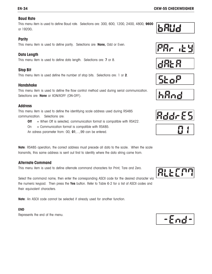### **EN-34 CKW-55 CHECKWEIGHER**

#### **Baud Rate**

This menu item is used to define Baud rate. Selections are: 300, 600, 1200, 2400, 4800, **9600** or 19200.

#### **Parity**

This menu item is used to define parity. Selections are: **None,** Odd or Even.

# **Data Length**

This menu item is used to define data length. Selections are: **7** or 8.

# **Stop Bit**

This menu item is used define the number of stop bits. Selections are: 1 or **2**.

### **Handshake**

This menu item is used to define the flow control method used during serial communication. Selections are: **None** or XON/XOFF (ON-OFF).

### **Address**

This menu item is used to define the identifying scale address used during RS485 communication. Selections are:

**Off** = When Off is selected, communication format is compatible with RS422.

 $On = Communication format is compatible with RS485.$ 

An adress parameter from: 00, **01**,...,99 can be entered.

**Note**: RS485 operation, the correct address must precede all data to the scale. When the scale transmits, this same address is sent out first to identify where the data string came from.

# **Alternate Command**

This menu item is used to define alternate command characters for Print, Tare and Zero.

Select the command name, then enter the corresponding ASCII code for the desired character via the numeric keypad. Then press the **Yes** button. Refer to Table 6-2 for a list of ASCII codes and their equivalent characters.

**Note**: An ASCII code cannot be selected if already used for another function.

#### **END**

Represents the end of the menu.

















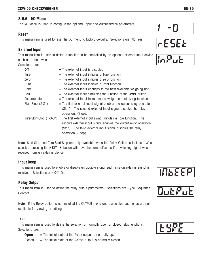### **3.6.6 I/O Menu**

The I/O Menu is used to configure the optional input and output device parameters.

#### **Reset**

This menu item is used to reset the I/O menu to factory defaults. Selections are: **No**, Yes.

### **External Input**

This menu item is used to define a function to be controlled by an optional external input device such as a foot switch.

Selections are:

| <b>Off</b>           | $=$ The external input is disabled.                                                                                                                                                                                                                   |
|----------------------|-------------------------------------------------------------------------------------------------------------------------------------------------------------------------------------------------------------------------------------------------------|
| Tare                 | $=$ The external input initiates a Tare function.                                                                                                                                                                                                     |
| Zero                 | $=$ The external input initiates a Zero function.                                                                                                                                                                                                     |
| Print                | $=$ The external input initiates a Print function.                                                                                                                                                                                                    |
| Units                | $=$ The external input changes to the next available weighing unit.                                                                                                                                                                                   |
| <b>GNT</b>           | $=$ The external input simulates the function of the <b>G/N/T</b> button.                                                                                                                                                                             |
| Accumulation         | $=$ The external input increments a weighment totalizing function.                                                                                                                                                                                    |
| Start-Stop $(S-S^*)$ | $=$ The first external input signal enables the output relay operation,<br>(Start). The second external input signal disables the relay<br>operation, (Stop).                                                                                         |
|                      | Tare-Start-Stop $(T-S-S^*)$ = The first external input signal initiates a Tare function. The<br>second external input signal enables the output relay operation,<br>(Start). The third external input signal disables the relay<br>operation, (Stop). |

**Note**: Start-Stop and Tare-Start-Stop are only available when the Relay Option is installed. When selected, pressing the **NEXT +/-** button will have the same effect as if a switching signal was received from an external device.

### **Input Beep**

This menu item is used to enable or disable an audible signal each time an external signal is received. Selections are: **Off**, On.

#### **Relay Output**

This menu item is used to define the relay output parameters. Selections are: Type, Sequence, Contact.

**Note**: If the Relay option is not installed the OUTPUT menu and associated submenus are not available for viewing or editing.

#### **TYPE**

This menu item is used to define the selection of normally open or closed relay functions. Selections are:

**Open**  $=$  The initial state of the Relay output is normally open.

 $Closed = The initial state of the Relays output is normally closed.$ 











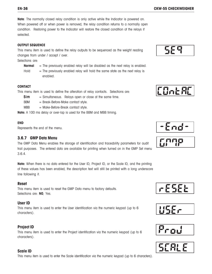**EN-36 CKW-55 CHECKWEIGHER**

**Note**: The normally closed relay condition is only active while the Indicator is powered on. When powered off or when power is removed, the relay condition returns to a normally open condition. Restoring power to the Indicator will restore the closed condition of the relays if selected.

#### **OUTPUT SEQUENCE**

This menu item is used to define the relay outputs to be sequenced as the weight reading changes from under / accept / over.

Selections are:

- **Normal** = The previously enabled relay will be disabled as the next relay is enabled.
- Hold  $=$  The previously enabled relay will hold the same state as the next relay is enabled.

#### **CONTACT**

This menu item is used to define the alteration of relay contacts. Selections are:

- $Sim$  = Simultaneous. Relays open or close at the same time.
- BBM = Break-Before-Make contact style.
- $MBB = Make-Before-Break contact style.$
- **Note:** A 100 ms delay or over-lap is used for the BBM and MBB timing.

#### **END**

Represents the end of the menu.

### **3.6.7 GMP Data Menu**

The GMP Data Menu enables the storage of identification and traceability parameters for audit trail purposes. The entered data are available for printing when turned on in the GMP Set menu 3.6.4.

**Note:** When there is no data entered for the User ID, Project ID, or the Scale ID, and the printing of these values has been enabled, the description text will still be printed with a long underscore line following it.

#### **Reset**

This menu item is used to reset the GMP Data menu to factory defaults. Selections are: **NO**, Yes.

#### **User ID**

This menu item is used to enter the User identification via the numeric keypad (up to 6 characters).

### **Project ID**

This menu item is used to enter the Project identification via the numeric keypad (up to 6 characters).

### **Scale ID**

This menu item is used to enter the Scale identification via the numeric keypad (up to 6 characters).













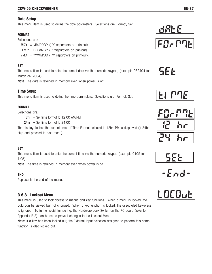### **Date Setup**

This menu item is used to define the date parameters. Selections are: Format, Set.

#### **FORMAT**

#### Selections are:

- **MDY** = MM/DD/YY ( "/" separators on printout). D.M.Y = DD.MM.YY ( "."Separators on printout).
- YMD = YY/MM/DD ("/" separators on printout).

#### **SET**

This menu item is used to enter the current date via the numeric keypad, (example 032404 for March 24, 2004).

**Note**: The date is retained in memory even when power is off.

### **Time Setup**

This menu item is used to define the time parameters. Selections are: Format, Set.

#### **FORMAT**

Selections are:

 $12hr = Set time format to 12:00 AM/PM$ 

**24hr**  $=$  Set time format to  $24:00$ 

The display flashes the current time. If Time Format selected is 12hr, PM is displayed (if 24hr, skip and proceed to next menu).

#### **SET**

This menu item is used to enter the current time via the numeric keypad (example 0105 for 1:05).

**Note**: The time is retained in memory even when power is off.

#### **END**

Represents the end of the menu.

### **3.6.8 Lockout Menu**

This menu is used to lock access to menus and key functions. When a menu is locked, the data can be viewed but not changed. When a key function is locked, the associated key-press is ignored. To further resist tampering, the Hardware Lock Switch on the PC board (refer to Appendix B.2) can be set to prevent changes to the Lockout Menu.

**Note:** If a key has been locked out, the External Input selection assigned to perform this same function is also locked out.













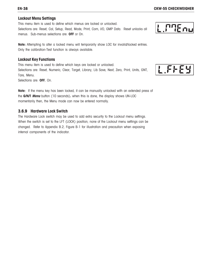# **Lockout Menu Settings**

This menu item is used to define which menus are locked or unlocked. Selections are: Reset, Cal, Setup, Read, Mode, Print, Com, I/O, GMP Data. Reset unlocks all menus. Sub-menus selections are: **OFF** or On.

**Note:** Attempting to alter a locked menu will temporarily show LOC for invalid/locked entries. Only the calibration-Test function is always available.

# **Lockout Key Functions**

This menu item is used to define which keys are locked or unlocked. Selections are: Reset, Numeric, Clear, Target, Library, Lib Save, Next, Zero, Print, Units, GNT, Tare, Menu.

Selections are: **OFF**, On.

**Note:** If the menu key has been locked, it can be manually unlocked with an extended press of the **G/N/T Menu** button (10 seconds)**.** when this is done, the display shows UN-LOC momentarily then, the Menu mode can now be entered normally.

# **3.6.9 Hardware Lock Switch**

The Hardware Lock switch may be used to add extra security to the Lockout menu settings. When the switch is set to the LFT (LOCK) position, none of the Lockout menu settings can be changed. Refer to Appendix B.2, Figure B-1 for illustration and precaution when exposing internal components of the indicator.



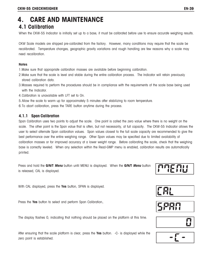# **4. CARE AND MAINTENANCE 4.1 Calibration**

When the CKW-55 Indicator is initially set up to a base, it must be calibrated before use to ensure accurate weighing results.

CKW Scale models are shipped pre-calibrated from the factory. However, many conditions may require that the scale be recalibrated. Temperature changes, geographic gravity variations and rough handling are few reasons why a scale may need recalibration.

#### **Notes**:

- 1.Make sure that appropriate calibration masses are available before beginning calibration.
- 2.Make sure that the scale is level and stable during the entire calibration process. The Indicator will retain previously stored calibration data.
- 3.Masses required to perform the procedures should be in compliance with the requirements of the scale base being used with the Indicator.
- 4.Calibration is unavailable with LFT set to On.
- 5.Allow the scale to warm up for approximately 5 minutes after stabilizing to room temperature.
- 6.To abort calibration, press the TARE button anytime during the process.

### **4.1.1 Span Calibration**

Span Calibration uses two points to adjust the scale. One point is called the zero value where there is no weight on the scale. The other point is the Span value that is often, but not necessarily, at full capacity. The CKW-55 Indicator allows the user to select alternate Span calibration values. Span values closest to the full scale capacity are recommended to give the best performance over the entire weighing range. Other Span values may be specified due to limited availability of calibration masses or for improved accuracy at a lower weight range. Before calibrating the scale, check that the weighing base is correctly leveled. When any selection within the Read-GMP menu is enabled, calibration results are automatically printed.

Press and hold the **G/N/T Menu** button until MENU is displayed. When the **G/N/T Menu** button is released, CAL is displayed.

With CAL displayed, press the **Yes** button, SPAN is displayed.

Press the **Yes** button to select and perform Span Calibration.

The display flashes 0, indicating that nothing should be placed on the platform at this time.

After ensuring that the scale platform is clear, press the **Yes** button. -C- is displayed while the zero point is established.







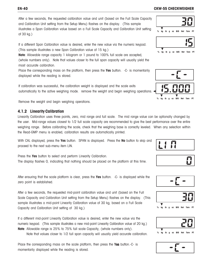After a few seconds, the requested calibration value and unit (based on the Full Scale Capacity and Calibration Unit setting from the Setup Menu) flashes on the display. (This sample illustrates a Span Calibration value based on a Full Scale Capacity and Calibration Unit setting of 30 kg.)

If a different Span Calibration value is desired, enter the new value via the numeric keypad. (This sample illustrates a new Span Calibration value of 15 kg.)

**Note**: Allowable range capacity 1 kilogram or 1 pound to 100% full scale are accepted,

(whole numbers only). Note that values closer to the full span capacity will usually yield the most accurate calibration.

Place the corresponding mass on the platform, then press the **Yes** button. -C- is momentarily displayed while the reading is stored.

If calibration was successful, the calibration weight is displayed and the scale exits automatically to the active weighing mode. remove the weight and begin weighing operations.

Remove the weight and begin weighing operations.

# **4.1.2 Linearity Calibration**

Linearity Calibration uses three points, zero, mid range and full scale. The mid range value can be optionally changed by the user. Mid-range values closest to 1/2 full scale capacity are recommended to give the best performance over the entire weighing range. Before calibrating the scale, check that the weighing base is correctly leveled. When any selection within the Read-GMP menu is enabled, calibration results are automatically printed.

With CAL displayed, press the **Yes** button. SPAN is displayed. Press the **No** button to skip and proceed to the next sub-menu item LIN.

Press the **Yes** button to select and perform Linearity Calibration. The display flashes 0, indicating that nothing should be placed on the platform at this time.

After ensuring that the scale platform is clear, press the **Yes** button. -C- is displayed while the zero point is established.

After a few seconds, the requested mid-point calibration value and unit (based on the Full Scale Capacity and Calibration Unit setting from the Setup Menu) flashes on the display. (This sample illustrates a mid-point Linearity Calibration value of 30 kg, based on a Full Scale Capacity and Calibration Unit setting of 30 kg.)

If a different mid-point Linearity Calibration value is desired, enter the new value via the numeric keypad. (This sample illustrates a new mid-point Linearity Calibration value of 20 kg.) **Note**: Allowable range is 25% to 75% full scale Capacity, (whole numbers only).

Note that values closer to 1/2 full span capacity will usually yield accurate calibration.

Place the corresponding mass on the scale platform, then press the Yes button.-C- is momentarily displayed while the reading is stored.

# **EN-40 CKW-55 CHECKWEIGHER**















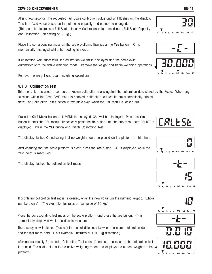#### **CKW-55 CHECKWEIGHER EN-41**

After a few seconds, the requested Full Scale calibration value and unit flashes on the display. This is a fixed value based on the full scale capacity and cannot be changed. (This sample illustrates a Full Scale Linearity Calibration value based on a Full Scale Capacity and Calibration Unit setting of 30 kg.)

Place the corresponding mass on the scale platform, then press the **Yes** button. -C- is momentarily displayed while the reading is stored.

If calibration was successful, the calibration weight is displayed and the scale exits automatically to the active weighing mode. Remove the weight and begin weighing operations.

Remove the weight and begin weighing operations.

#### **4.1.3 Calibration Test**

This menu item is used to compare a known calibration mass against the calibration data stored by the Scale. When any selection within the Read-GMP menu is enabled, calibration test results are automatically printed. **Note:** The Calibration Test function is available even when the CAL menu is locked out.

Press the **GNT Menu** button until MENU is displayed, CAL will be displayed. Press the **Yes** button to enter the CAL menu. Repeatedly press the **No** button until the sub-menu item CALTST is displayed. Press the **Yes** button and initiate Calibration Test.

The display flashes 0, indicating that no weight should be placed on the platform at this time.

After ensuring that the scale platform is clear, press the **Yes** button. -T- is displayed while the zero point is measured.

The display flashes the calibration test mass.

If a different calibration test mass is desired, enter the new value via the numeric keypad, (whole numbers only). (The example illustrates a new value of 10 kg.)

Place the corresponding test mass on the scale platform and press the yes button. -T- is momentarily displayed while the data is measured.

The display now indicates (flashes) the actual difference between the stored calibration data and the test mass data. (This example illustrates a 0.010 kg difference.)

After approximately 5 seconds, Calibration Test ends. If enabled, the result of the calibration test is printed. The scale returns to the active weighing mode and displays the current weight on the platform.













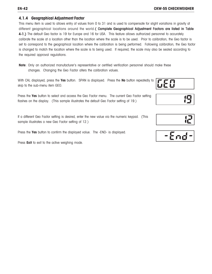#### **4.1.4 Geographical Adjustment Factor**

This menu item is used to allows entry of values from 0 to 31 and is used to compensate for slight variations in gravity at different geographical locations around the world. (Complete Geographical Adjustment Factors are listed in Table 4-1.) The default Geo factor is 19 for Europe and 16 for USA. This feature allows authorized personnel to accurately calibrate the scale at a location other than the location where the scale is to be used. Prior to calibration, the Geo factor is set to correspond to the geographical location where the calibration is being performed. Following calibration, the Geo factor is changed to match the location where the scale is to being used. If required, the scale may also be sealed according to the required approval regulations.

**Note**: Only an authorized manufacturer's representative or certified verification personnel should make these changes. Changing the Geo Factor alters the calibration values.

With CAL displayed, press the **Yes** button. SPAN is displayed. Press the **No** button repeatedly to skip to the sub-menu item GEO.

Press the **Yes** button to select and access the Geo Factor menu. The current Geo Factor setting flashes on the display. (This sample illustrates the default Geo Factor setting of 19.)

If a different Geo Factor setting is desired, enter the new value via the numeric keypad. (This sample illustrates a new Geo Factor setting of 12.)

Press the **Yes** button to confirm the displayed value. The -END- is displayed.

Press **Exit** to exit to the active weighing mode.





|--|

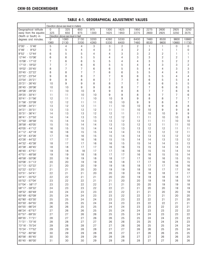|                                               |                      | Elevation above sea level in meters      |              |              |                |              |                |                |                |                |                  |
|-----------------------------------------------|----------------------|------------------------------------------|--------------|--------------|----------------|--------------|----------------|----------------|----------------|----------------|------------------|
| Geographical latitude                         | $\Omega$             | 325                                      | 650          | 975          | 1300           | 1625         | 1950           | 2275           | 2600           | 2925           | 3250             |
| away from the equator,<br>(North or South) in | 325                  | 650<br>Elevation above sea level in feet | 975          | 1300         | 1625           | 1950         | 2275           | 2600           | 2925           | 3250           | 3575             |
| degrees and minutes.                          | $\mathbf{0}$<br>1060 | 1060<br>2130                             | 2130<br>3200 | 3200<br>4260 | 4260<br>5330   | 5330<br>6400 | 6400<br>7460   | 7460<br>8530   | 8530<br>9600   | 9600<br>10660  | 10660<br>11730   |
| 5°46'<br>0°00'<br>$\sim$                      | 5                    | 4                                        | 4            | 3            | 3              | 2            | 2              | 1              | $\mathbf{1}$   | 0              | 0                |
| 9°52'<br>5°46'<br>$\sim$                      | 5                    | 5                                        | 4            | 4            | 3              | 3            | 2              | $\overline{2}$ | $\mathbf{I}$   | 1              | $\boldsymbol{0}$ |
| $9°52' - 12°44'$                              | 6                    | 5                                        | 5            | 4            | 4              | 3            | 3              | $\overline{2}$ | $\overline{2}$ | 1              | 1                |
| 12°44' - 15°06'                               | 6                    | 6                                        | 5            | 5            | 4              | 4            | 3              | 3              | $\overline{2}$ | 2              | $\mathbf{1}$     |
| 15°06' - 17°10'                               | $\overline{7}$       | 6                                        | 6            | 5            | 5              | 4            | 4              | 3              | 3              | $\overline{2}$ | $\overline{2}$   |
| 17°10' - 19°02'                               | $\overline{7}$       | $\overline{7}$                           | 6            | 6            | 5              | 5            | 4              | 4              | 3              | 3              | $\overline{2}$   |
| 19°02' - 20°45'                               | 8                    | $\overline{7}$                           | 7            | 6            | 6              | 5            | 5              | 4              | 4              | 3              | 3                |
| 20°45' - 22°22'                               | 8                    | 8                                        | 7            | 7            | 6              | 6            | 5              | 5              | 4              | 4              | 3                |
| 22°22' - 23°54'                               | 9                    | 8                                        | 8            | 7            | 7              | 6            | 6              | 5              | 5              | 4              | 4                |
| 23°54' - 25°21'                               | 9                    | $9\,$                                    | 8            | 8            | $\overline{7}$ | 7            | 6              | 6              | 5              | 5              | 4                |
| 25°21' - 26°45'                               | 10                   | 9                                        | 9            | 8            | 8              | 7            | 7              | 6              | 6              | 5              | 5                |
| 26°45' - 28°06'                               | 10                   | 10                                       | 9            | 9            | 8              | 8            | $\overline{7}$ | $\overline{7}$ | 6              | 6              | 5                |
| 28°06' - 29°25'                               | 11                   | 10                                       | 10           | 9            | 9              | 8            | 8              | $\overline{7}$ | $\overline{7}$ | 6              | 6                |
| 29°25' - 30°41'                               | 11                   | 11                                       | 10           | 10           | 9              | 9            | 8              | 8              | $\overline{7}$ | $\overline{7}$ | 6                |
| 30°41' - 31°56'                               | 12                   | 11                                       | 11           | 10           | 10             | 9            | 9              | 8              | 8              | $\overline{7}$ | $\overline{7}$   |
| 31°56' - 33°09'                               | 12                   | 12                                       | 11           | 11           | 10             | 10           | 9              | 9              | 8              | 8              | $\overline{7}$   |
| 33°09' - 34°21'<br>34°21' - 35°31'            | 13<br>13             | 12<br>13                                 | 12<br>12     | 11<br>12     | 11<br>11       | 10<br>11     | 10<br>10       | 9<br>10        | 9<br>9         | 8<br>9         | 8<br>8           |
| 35°31' - 36°41'                               | 14                   | 13                                       | 13           | 12           | 12             | 11           | 11             | 10             | 10             | 9              | $9\,$            |
| 36°41' - 37°50'                               | 14                   | 14                                       | 13           | 13           | 12             | 12           | 11             | 11             | 10             | 10             | $9\,$            |
| 37°50' - 38°58'                               | 15                   | 14                                       | 14           | 13           | 13             | 12           | 12             | 11             | 11             | 10             | 10               |
| 38°58' - 40°05'                               | 15                   | 15                                       | 14           | 14           | 13             | 13           | 12             | 12             | 11             | 11             | 10               |
| 40°05' - 41°12'                               | 16                   | 15                                       | 15           | 14           | 14             | 13           | 13             | 12             | 12             | 11             | 11               |
| 41°12' - 42°19'                               | 16                   | 16                                       | 15           | 15           | 14             | 14           | 13             | 13             | 12             | 12             | 11               |
| 42°19' - 43°26'                               | 17                   | 16                                       | 16           | 15           | 15             | 14           | 14             | 13             | 13             | 12             | 12               |
| 43°26' - 44°32'                               | 17                   | 17                                       | 16           | 16           | 15             | 15           | 14             | 14             | 13             | 13             | 12               |
| 44°32' - 45°38'                               | 18                   | 17                                       | 17           | 16           | 16             | 15           | 15             | 14             | 14             | 13             | 13               |
| 45°38' - 46°45'                               | 18                   | 18                                       | 17           | 17           | 16             | 16           | 15             | 15             | 14             | 14             | 13               |
| $46°45' - 47°51'$                             | 19                   | 18                                       | 18           | 17           | 17             | 16           | 16             | 15             | 15             | 14             | 14               |
| 47°51' - 48°58'                               | 19                   | 19                                       | 18           | 18           | 17             | 17           | 16             | 16             | 15             | 15             | 14               |
| 48°58' - 50°06'                               | 20                   | 19                                       | 19           | 18           | 18             | 17           | 17             | 16             | 16             | 15             | 15               |
| $50^{\circ}06' - 51^{\circ}13'$               | 20                   | 20                                       | 19           | 19           | 18             | 18           | 17             | 17             | 16             | 16             | 15               |
| 51°13' - 52°22'                               | 21                   | 20                                       | 20           | 19           | 19             | 18           | 18             | 17             | 17             | 16             | 16               |
| 52°22' - 53°31'                               | 21                   | 21                                       | 20           | 20           | 19             | 19           | 18             | 18             | 17             | 17             | 16               |
| 53°31' - 54°41'                               | 22                   | 21                                       | 21           | 20           | 20             | 19           | 19             | 18             | 18             | 17             | 17               |
| 54°41' - 55°52'                               | 22                   | 22                                       | 21           | 21           | 20             | 20           | 19             | 19             | 18             | 18             | 17               |
| 55°52' - 57°04'<br>57°04' - 58°17'            | 23                   | 22                                       | 22           | 21           | 21             | 20           | 20             | 19             | 19             | 18             | 18               |
| 58°17' - 59°32'                               | 23<br>24             | 23<br>23                                 | 22<br>23     | 22<br>22     | 21<br>22       | 21<br>21     | 20<br>21       | 20<br>20       | 19<br>20       | 19<br>19       | 18<br>19         |
| 59°32' - 60°49'                               | 24                   | 24                                       | 23           | 23           | 22             | 22           | 21             | 21             | 20             | 20             | 19               |
| 60°49' - 62°09'                               | 25                   | 24                                       | 24           | 23           | 23             | 22           | 22             | 21             | 21             | 20             | 20               |
| 62°90' - 63°30'                               | 25                   | 25                                       | 24           | 24           | 23             | 23           | 22             | 22             | 21             | 21             | 20               |
| 63°30' - 64°55'                               | 26                   | 25                                       | 25           | 24           | 24             | 23           | 23             | 22             | 22             | 21             | 21               |
| 64°55' - 66°24'                               | 26                   | 26                                       | 25           | 25           | 24             | 24           | 23             | 23             | 22             | 22             | 21               |
| 66°24' - 67°57'                               | 27                   | 26                                       | 26           | 25           | 25             | 24           | 24             | 23             | 23             | 22             | 22               |
| 67°57' - 69°35'                               | 27                   | 27                                       | 26           | 26           | 25             | 25           | 24             | 24             | 23             | 23             | 22               |
| 69°35' - 71°21'                               | 28                   | 27                                       | 27           | 26           | 26             | 25           | 25             | 24             | 24             | 23             | 23               |
| 71°21' - 73°16'                               | 28                   | 28                                       | 27           | 27           | 26             | 26           | 25             | 25             | 24             | 24             | 23               |
| 73°16' - 75°24'                               | 29                   | 28                                       | 28           | 27           | 27             | 26           | 26             | 25             | 25             | 24             | 24               |
| 75°24' - 77°52'                               | 29                   | 29                                       | 28           | 28           | 27             | 27           | 26             | 26             | 25             | 25             | 24               |
| 77°52' - 80°56'                               | 30                   | 29                                       | 29           | 28           | 28             | 27           | 27             | 26             | 26             | 25             | 25               |
| 80°56' - 85°45'                               | 30                   | 30                                       | 29           | 29           | 28             | 28           | 27             | 27             | 26             | 26             | 25               |
| 85°45' - 90°00'                               | 31                   | 30                                       | 30           | 29           | 29             | 28           | 28             | 27             | 27             | 26             | 26               |
|                                               |                      |                                          |              |              |                |              |                |                |                |                |                  |

**TABLE 4-1. GEOGRAPHICAL ADJUSTMENT VALUES**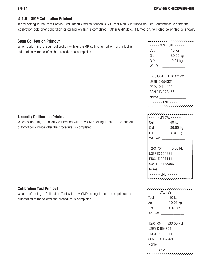### **4.1.5 GMP Calibration Printout**

If any setting in the Print-Content-GMP menu (refer to Section 3.6.4 Print Menu) is turned on, GMP automatically prints the calibration data after calibration or calibration test is completed. Other GMP data, if turned on, will also be printed as shown.

#### **Span Calibration Printout**

When performing a Span calibration with any GMP setting turned on, a printout is automatically made after the procedure is completed.

### **Linearity Calibration Printout**

When performing a Linearity calibration with any GMP setting turned on, a printout is automatically made after the procedure is completed.

#### **Calibration Test Printout**

When performing a Calibration Test with any GMP setting turned on, a printout is automatically made after the procedure is completed.

|                      | - - - SPAN CAL - - - - - |  |  |  |
|----------------------|--------------------------|--|--|--|
| Cal:                 | 40 kg                    |  |  |  |
| Old:                 | 39.99 kg                 |  |  |  |
| Diff:                | 0.01 kg                  |  |  |  |
| Wt. Ref.             |                          |  |  |  |
|                      |                          |  |  |  |
| 12/01/04 1:10:00 PM  |                          |  |  |  |
| USER ID 654321       |                          |  |  |  |
| <b>PROJID 111111</b> |                          |  |  |  |
| SCALE ID 123456      |                          |  |  |  |
| Name                 |                          |  |  |  |
|                      | - - - FND - - - - -      |  |  |  |
|                      |                          |  |  |  |

| - - - - - I IN CAI - - - |                     |  |  |  |
|--------------------------|---------------------|--|--|--|
| Cal:                     | 40 kg               |  |  |  |
| Old:                     | 39.99 kg            |  |  |  |
| Diff:                    | 0.01 kg             |  |  |  |
| Wt. Ref.                 |                     |  |  |  |
|                          |                     |  |  |  |
|                          | 12/01/04 1:10:00 PM |  |  |  |
| USER ID 654321           |                     |  |  |  |
| PROJID 111111            |                     |  |  |  |
| <b>SCALE ID 123456</b>   |                     |  |  |  |
| Name                     |                     |  |  |  |
| - - - - - FND - - - -    |                     |  |  |  |
|                          |                     |  |  |  |

|                       | $--- CAI$ TEST $---$ |  |  |  |
|-----------------------|----------------------|--|--|--|
| Test:                 | $10$ kg              |  |  |  |
| Act:                  | 10.01 kg             |  |  |  |
| Diff:                 | $0.01$ kg            |  |  |  |
| Wt Ref                |                      |  |  |  |
|                       |                      |  |  |  |
|                       | 12/01/04 1:30:00 PM  |  |  |  |
| USER ID 654321        |                      |  |  |  |
| PROJID 111111         |                      |  |  |  |
| SCALE ID 123456       |                      |  |  |  |
| Name                  |                      |  |  |  |
| - - - - FND - - - - - |                      |  |  |  |
|                       |                      |  |  |  |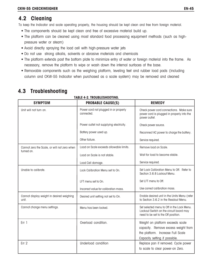# **4.2 Cleaning**

To keep the Indicator and scale operating properly, the housing should be kept clean and free from foreign material.

- The components should be kept clean and free of excessive material build up.
- The platform can be cleaned using most standard food processing equipment methods (such as highpressure water or steam)
- Avoid directly spraying the load cell with high-pressure water jets
- Do not use strong alkalis, solvents or abrasive materials and chemicals
- The platform extends past the bottom plate to minimize entry of water or foreign material into the frame. As necessary, remove the platform to wipe or wash down the internal surfaces of the base.
- Removable components such as the weighing platform, leveling feet and rubber load pads (including column and CKW-55 Indicator when purchased as a scale system) may be removed and cleaned

| IADLE 4-4. IKUUDLEJNUUIINU.                                |                                                     |                                                                                                                                               |  |  |  |  |
|------------------------------------------------------------|-----------------------------------------------------|-----------------------------------------------------------------------------------------------------------------------------------------------|--|--|--|--|
| <b>SYMPTOM</b>                                             | <b>PROBABLE CAUSE(S)</b>                            | <b>REMEDY</b>                                                                                                                                 |  |  |  |  |
| Unit will not turn on.                                     | Power cord not plugged in or properly<br>connected. | Check power cord connections. Make sure<br>power cord is plugged in properly into the<br>power outlet.                                        |  |  |  |  |
|                                                            | Power outlet not supplying electricity.             | Check power source.                                                                                                                           |  |  |  |  |
|                                                            | Battery power used up.                              | Reconnect AC power to charge the battery.                                                                                                     |  |  |  |  |
|                                                            | Other failure.                                      | Service required.                                                                                                                             |  |  |  |  |
| Cannot zero the Scale, or will not zero when<br>turned on. | Load on Scale exceeds allowable limits.             | Remove load on Scale.                                                                                                                         |  |  |  |  |
|                                                            | Load on Scale is not stable.                        | Wait for load to become stable.                                                                                                               |  |  |  |  |
|                                                            | Load Cell damage.                                   | Service required.                                                                                                                             |  |  |  |  |
| Unable to calibrate.                                       | Lock Calibration Menu set to On.                    | Set Lock Calibration Menu to Off. Refer to<br>Section 3.6.8 Lockout Menu.                                                                     |  |  |  |  |
|                                                            | LFT menu set to On.                                 | Set LFT menu to Off.                                                                                                                          |  |  |  |  |
|                                                            | Incorrect value for calibration mass.               | Use correct calibration mass.                                                                                                                 |  |  |  |  |
| Cannot display weight in desired weighing<br>unit.         | Desired unit setting not set to On.                 | Enable desired unit in the Units Menu (refer<br>to Section 3.6.2 in the Readout Menu.                                                         |  |  |  |  |
| Cannot change menu settings.                               | Menu has been locked.                               | Set selected menu to Off in the Lock Menu.<br>Lockout Switch on the circuit board may<br>need to be set to the Off position.                  |  |  |  |  |
| Err <sub>1</sub>                                           | Overload condition.                                 | Weight on platform exceeds scale<br>capacity. Remove excess weight from<br>the platform. Increase Full Scale<br>Capacity setting if possible. |  |  |  |  |
| Err <sub>2</sub>                                           | Underload condition                                 | Replace pan if removed. Cycle power<br>to scale to clear power-on Zero.                                                                       |  |  |  |  |

# **4.3 Troubleshooting**

### **TABLE 4-2. TROUBLESHOOTING.**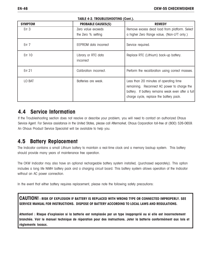|  | ×<br>۰. |
|--|---------|
|--|---------|

| <b>SYMPTOM</b>   | <b>PROBABLE CAUSES(S)</b>        | <b>REMEDY</b>                                                                                                                                                                          |
|------------------|----------------------------------|----------------------------------------------------------------------------------------------------------------------------------------------------------------------------------------|
| Err <sub>3</sub> | Zero value exceeds               | Remove excess dead load from platform. Select                                                                                                                                          |
|                  | the Zero % setting               | a higher Zero Range value, (Non-LFT only.)                                                                                                                                             |
| Err <sub>7</sub> | EEPROM data incorrect            | Service required.                                                                                                                                                                      |
| Err 10           | Library or RTC data<br>incorrect | Replace RTC (Lithium) back-up battery.                                                                                                                                                 |
| Err 21           | Calibration incorrect.           | Perform the recalibration using correct masses.                                                                                                                                        |
| LO BAT           | Batteries are weak.              | Less than 20 minutes of operating time<br>remaining. Reconnect AC power to charge the<br>battery. If battery remains weak even after a full<br>charge cycle, replace the battery pack. |

**TABLE 4-2. TROUBLESHOOTING (Cont.).**

# **4.4 Service Information**

If the Troubleshooting section does not resolve or describe your problem, you will need to contact an authorized Ohaus Service Agent. For Service assistance in the United States, please call Aftermarket, Ohaus Corporation toll-free at (800) 526-0659. An Ohaus Product Service Specialist will be available to help you.

# **4.5 Battery Replacement**

The Indicator contains a small Lithium battery to maintain a real-time clock and a memory backup system. This battery should provide many years of maintenance free operation.

The CKW Indicator may also have an optional rechargeable battery system installed, (purchased separately). This option includes a long life NiMH battery pack and a charging circuit board. This battery system allows operation of the Indicator without an AC power connection.

In the event that either battery requires replacement, please note the following safety precautions:

**CAUTION! : RISK OF EXPLOSION IF BATTERY IS REPLACED WITH WRONG TYPE OR CONNECTED IMPROPERLY. SEE SERVICE MANUAL FOR INSTRUCTIONS. DISPOSE OF BATTERY ACCORDING TO LOCAL LAWS AND REGULATIONS.**

**Attention! : Risque d'explosion si la batterie est remplacée par un type inapproprié ou si elle est incorrectement branchée. Voir le manuel technique de réparation pour des instructions. Jeter la batterie conformément aux lois et règlements locaux.**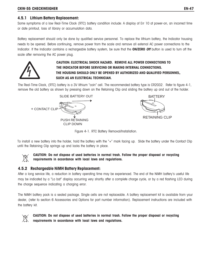#### **4.5.1 Lithium Battery Replacement:**

Some symptoms of a low Real-Time Clock (RTC) battery condition include: A display of Err 10 at power-on, an incorrect time or date printout, loss of library or accumulation data.

Battery replacement should only be done by qualified service personnel. To replace the lithium battery, the Indicator housing needs to be opened. Before continuing, remove power from the scale and remove all external AC power connections to the Indicator. If the Indicator contains a rechargeable battery system, be sure that the **ON/ZERO Off** button is used to turn off the scale after removing the AC power plug.



# **CAUTION: ELECTRICAL SHOCK HAZARD. REMOVE ALL POWER CONNECTIONS TO THE INDICATOR BEFORE SERVICING OR MAKING INTERNAL CONNECTIONS. THE HOUSING SHOULD ONLY BE OPENED BY AUTHORIZED AND QUALIFIED PERSONNEL, SUCH AS AN ELECTRICAL TECHNICIAN.**

The Real-Time Clock, (RTC) battery is a 3V lithium "coin" cell. The recommended battery type is CR2032. Refer to figure 4-1, remove the old battery as shown by pressing down on the Retaining Clip and sliding the battery up and out of the holder.





Figure 4-1. RTC Battery Removal/Installation.

To install a new battery into the holder, hold the battery with the "+" mark facing up. Slide the battery under the Contact Clip until the Retaining Clip springs up and locks the battery in place.



**CAUTION**: **Do not dispose of used batteries in normal trash. Follow the proper disposal or recycling requirements in accordance with local laws and regulations.**

### **4.5.2 Rechargeable NiMH Battery Replacement:**

After a long service life, a reduction in battery operating time may be experienced. The end of the NiMH battery's useful life may be indicated by a "Lo bat" display occurring very shortly after a complete charge cycle, or by a red flashing LED during the charge sequence indicating a charging error.

The NiMH battery pack is a sealed package. Single cells are not replaceable. A battery replacement kit is available from your dealer, (refer to section 6 Accessories and Options for part number information). Replacement instructions are included with the battery kit.



**CAUTION**: **Do not dispose of used batteries in normal trash. Follow the proper disposal or recycling requirements in accordance with local laws and regulations.**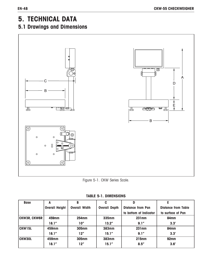# **5. TECHNICAL DATA**

# **5.1 Drawings and Dimensions**



Figure 5-1. CKW Series Scale.

| <b>Base</b>         | А                     | B                    | C                    | D                        |                            |
|---------------------|-----------------------|----------------------|----------------------|--------------------------|----------------------------|
|                     | <b>Overall Height</b> | <b>Overall Width</b> | <b>Overall Depth</b> | <b>Distance from Pan</b> | <b>Distance from Table</b> |
|                     |                       |                      |                      | to bottom of Indicator   | to surface of Pan          |
| <b>CKW3R, CKW6R</b> | 459mm                 | <b>254mm</b>         | 335mm                | 231mm                    | 84mm                       |
|                     | 18.1''                | 10"                  | 13.2''               | 9.1''                    | 3.3'                       |
| CKW15L              | 459mm                 | <b>305mm</b>         | 383mm                | 231mm                    | 84mm                       |
|                     | 18.1''                | 12"                  | 15.1''               | 9.1''                    | 3.3'                       |
| <b>CKW30L</b>       | 459mm                 | <b>305mm</b>         | 383mm                | <b>215mm</b>             | 92 <sub>mm</sub>           |
|                     | 18.1''                | 12"                  | 15.1''               | 8.5''                    | 3.6'                       |

**TABLE 5-1. DIMENSIONS**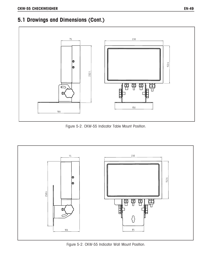# **5.1 Drawings and Dimensions (Cont.)**



Figure 5-2. CKW-55 Indicator Table Mount Position.



Figure 5-2. CKW-55 Indicator Wall Mount Position.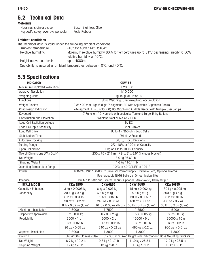#### **5.2 Technical Data Materials**

| <b>MATELIATS</b>                                                    |                                                                                                                     |
|---------------------------------------------------------------------|---------------------------------------------------------------------------------------------------------------------|
| Housing: stainless-steel                                            | Base: Stainless Steel                                                                                               |
| Keypad/display overlay: polyester                                   | Feet: Rubber                                                                                                        |
| <b>Ambient conditions</b>                                           |                                                                                                                     |
| The technical data is valid under the following ambient conditions: |                                                                                                                     |
| Ambient temperature:                                                | $-10^{\circ}$ C to 40 $^{\circ}$ C / 14 $^{\circ}$ F to 104 $^{\circ}$ F                                            |
| Relative humidity:                                                  | Maximum relative humidity 80% for temperatures up to 31 °C decreasing linearly to 50%<br>relative humidity at 40°C. |
| Height above sea level:                                             | up to $4000m$                                                                                                       |
|                                                                     | Operability is assured at ambient temperatures between -10°C. and 40°C.                                             |

# **5.3 Specifications**

| <b>INDICATOR</b>                    | <b>CKW-55</b>                                                                   |                                                                                                   |                                                  |                        |
|-------------------------------------|---------------------------------------------------------------------------------|---------------------------------------------------------------------------------------------------|--------------------------------------------------|------------------------|
| Maximum Displayed Resolution        |                                                                                 |                                                                                                   | 1:20,000                                         |                        |
| <b>Approval Resolution</b>          |                                                                                 |                                                                                                   | 1:10,000                                         |                        |
| <b>Weighing Units</b>               |                                                                                 |                                                                                                   | kg, lb, g, oz, lb:oz, %                          |                        |
| Functions                           |                                                                                 |                                                                                                   | Static Weighing, Checkweighing, Accumulation     |                        |
| Weight Display                      |                                                                                 | 0.8" / 20 mm High 6-digit, 7-segment LED with Adjustable Brightness Control                       |                                                  |                        |
| Checkweigh Indication               |                                                                                 | 24-segment LED (3 color x 8) Bar Graph and Audible Beeper with Multiple User Setups               |                                                  |                        |
| Keyboard                            |                                                                                 | 7-Function, 12-Numeric with dedicated Tare and Target Entry Buttons                               |                                                  |                        |
| <b>Construction and Protection</b>  |                                                                                 | Stainless Steel NEMA 4X / IP66                                                                    |                                                  |                        |
| <b>Load Cell Excitation Voltage</b> |                                                                                 |                                                                                                   | 5V <sub>DC</sub>                                 |                        |
| Load Cell Input Sensitivity         |                                                                                 |                                                                                                   | 2 or 3 mV/V                                      |                        |
| <b>Load Cell Drive</b>              |                                                                                 |                                                                                                   | Up to 4 x 350 ohm Load Cells                     |                        |
| <b>Stabilization Time</b>           |                                                                                 |                                                                                                   | Within 2 Seconds                                 |                        |
| Auto-zero Tracking                  |                                                                                 |                                                                                                   | Off, .5, 1 or 3 Divisions                        |                        |
| <b>Zeroing Range</b>                |                                                                                 |                                                                                                   | 2%, 18% or 100% of Capacity                      |                        |
| Span Calibration                    |                                                                                 | 1 kg or 1 lb to 100% Capacity                                                                     |                                                  |                        |
| Overall Dimensions (W x D x H)      |                                                                                 | 230 x 75 x 217 mm / 9" x 3" x 8.5" (includes bracket)                                             |                                                  |                        |
| Net Weight                          |                                                                                 | 3.0 kg / 6.61 lb                                                                                  |                                                  |                        |
| Shipping Weight                     |                                                                                 |                                                                                                   | 4.6 kg / 10.14 lb                                |                        |
| <b>Operating Temperature Range</b>  |                                                                                 |                                                                                                   | -10°C to 40°C/14°F to 104°F                      |                        |
| Power                               | 100-240 VAC / 50-60 Hz Universal Power Supply, Hardwire Cord, Optional Internal |                                                                                                   |                                                  |                        |
|                                     |                                                                                 |                                                                                                   | Rechargeable NiMH Battery (10-hour typical life) |                        |
| Interface                           |                                                                                 | Built-in RS232 and External Input / Optional: RS422/485, Relay Output                             |                                                  |                        |
| <b>SCALE MODEL</b>                  | <b>CKW3R55</b>                                                                  | <b>CKW6R55</b>                                                                                    | <b>CKW15L55</b>                                  | <b>CKW30L55</b>        |
| Capacity x Enhanced                 | 3 kg x 0.0005 kg                                                                | 6 kg x 0.001 kg                                                                                   | 15 kg x 0.002 kg                                 | 30 kg x 0.005 kg       |
| Readability                         | 3000 g x 0.5 g                                                                  | 6000 g x 1g                                                                                       | 15000 g x 2 g                                    | 30000 g x 5 g          |
|                                     | 6 lb x 0.001 lb                                                                 | 15 lb x 0.002 lb                                                                                  | 30 lb x 0.005 lb                                 | 60 lb x 0.01 lb        |
|                                     | 96 oz x 0.02 oz                                                                 | 240 oz x 0.05 oz                                                                                  | 480 oz x 0.1 oz                                  | 960 oz x 0.2 oz        |
|                                     | 6 lb x 0.02 oz (lb:oz)                                                          | 16 lb x 0.05 oz (lb:oz)                                                                           | 30 lb x 0.1 oz (lb:oz)                           | 60 lb x 0.2 oz (lb:oz) |
| <b>Maximum Resolution</b>           | 1:6000                                                                          | 1:7500                                                                                            | 1:7500                                           | 1:6000                 |
| Capacity x Approvable               | 3 x 0.001 kg                                                                    | 6 x 0.002 kg                                                                                      | 15 x 0.005 kg                                    | 30 x 0.01 kg           |
| Readability                         | $3000 \times 1 g$                                                               | 6000 x 2 g                                                                                        | 15000 x 5 g                                      | 30000 x 10 g           |
|                                     | 6 x 0.002 lb                                                                    | 15 x 0.005 lb                                                                                     | 30 x 0.01 lb                                     | 60 x 0.02 lb           |
|                                     | 96 oz x 0.05 oz<br>240 oz x 0.02 oz<br>480 oz x 0.2 oz                          |                                                                                                   |                                                  | 960 oz x 0.5 oz        |
| <b>Approval Resolution</b>          | 1:3000                                                                          | 1:3000                                                                                            | 1:3000                                           | 1:3000                 |
| Column                              |                                                                                 | Tubular 304 Stainless Steel 11.8" / 300 mm Fixed Height with Indicator and Base Mounting Brackets |                                                  |                        |
| Net Weight                          | 8.7 kg / 19.2 lb                                                                | 9.8 kg / 21.7 lb                                                                                  | 11.9 kg / 26.3 lb                                | 12.9 kg / 28.5 lb      |
| <b>Shipping Weight</b>              | 12 kg / 25 lb                                                                   | 13 kg / 28 lb                                                                                     | 15 kg / 32 lb                                    | 16 kg / 35 lb          |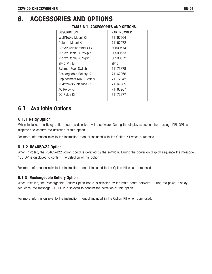# **6. ACCESSORIES AND OPTIONS**

| <b>DESCRIPTION</b>       | <b>PART NUMBER</b> |
|--------------------------|--------------------|
| Wall/Table Mount Kit     | 71167964           |
| Column Mount Kit         | 71167972           |
| RS232 Cable/Printer SF42 | 80500574           |
| RS232 Cable/PC 25-pin    | 80500553           |
| RS232 Cable/PC 9-pin     | 80500552           |
| SF42 Printer             | SF42               |
| External Foot Switch     | 71173378           |
| Rechargeable Battery Kit | 71167966           |
| Replacement NiMH Battery | 71172942           |
| RS422/485 Interface Kit  | 71167965           |
| <b>AC Relay Kit</b>      | 71167967           |
| DC Relay Kit             | 71173377           |
|                          |                    |

# **TABLE 6-1. ACCESSORIES AND OPTIONS.**

# **6.1 Available Options**

#### **6.1.1 Relay Option**

When installed, the Relay option board is detected by the software. During the display sequence the message REL OPT is displayed to confirm the detection of this option.

For more information refer to the instruction manual included with the Option Kit when purchased.

#### **6. 1.2 RS485/422 Option**

When installed, the RS485/422 option board is detected by the software. During the power on display sequence the message 485 OP is displayed to confirm the detection of this option.

For more information refer to the instruction manual included in the Option Kit when purchased.

#### **6.1.3 Rechargeable Battery Option**

When installed, the Rechargeable Battery Option board is detected by the main board software. During the power display sequence, the message BAT OP is displayed to confirm the detection of this option.

For more information refer to the instruction manual included in the Option Kit when purchased.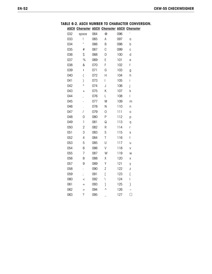### **ASCII Character ASCII Character ASCII Character TABLE 6-2. ASCII NUMBER TO CHARACTER CONVERSION.**

| 032 | space                    | 064 | @         | 096 | $\sqrt{2}$ |
|-----|--------------------------|-----|-----------|-----|------------|
| 033 | ļ                        | 065 | A         | 097 | a          |
| 034 | $\boldsymbol{u}$         | 066 | B         | 098 | b          |
| 035 | #                        | 067 | C         | 099 | C          |
| 036 | \$                       | 068 | D         | 100 | d          |
| 037 | $\%$                     | 069 | E         | 101 | е          |
| 038 | &                        | 070 | F         | 102 | f          |
| 039 | I                        | 071 | G         | 103 | g          |
| 040 | $\overline{C}$           | 072 | Н         | 104 | h          |
| 041 | $\mathcal{C}$            | 073 | Ī         | 105 | İ          |
| 042 | $\ast$                   | 074 | J         | 106 | j          |
| 043 | $^{+}$                   | 075 | Κ         | 107 | k          |
| 044 | $\overline{\phantom{a}}$ | 076 | L         | 108 | ľ          |
| 045 |                          | 077 | M         | 109 | m          |
| 046 | l,                       | 078 | N         | 110 | n          |
| 047 | $\overline{1}$           | 079 | 0         | 111 | O          |
| 048 | 0                        | 080 | P         | 112 | p          |
| 049 | $\overline{1}$           | 081 | Q         | 113 | q          |
| 050 | $\overline{2}$           | 082 | R         | 114 | r          |
| 051 | 3                        | 083 | S         | 115 | S          |
| 052 | 4                        | 084 | T         | 116 | t          |
| 053 | 5                        | 085 | U         | 117 | U          |
| 054 | 6                        | 086 | V         | 118 | V          |
| 055 | 7                        | 087 | W         | 119 | W          |
| 056 | 8                        | 088 | χ         | 120 | X          |
| 057 | 9                        | 089 | Υ         | 121 | У          |
| 058 | $\vdots$                 | 090 | Z         | 122 | Z          |
| 059 | $\frac{1}{2}$            | 091 | Ĺ         | 123 | ſ          |
| 060 | $\,<$                    | 092 | \         | 124 | L          |
| 061 | $=$                      | 093 | J         | 125 | }          |
| 062 | $\geq$                   | 094 | $\lambda$ | 126 |            |
| 063 | ?                        | 095 |           | 127 | ł          |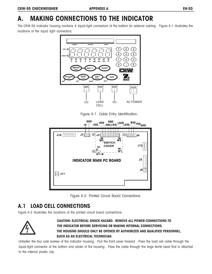# **A. MAKING CONNECTIONS TO THE INDICATOR**

The CKW-55 Indicator housing contains 4 liquid-tight connectors at the bottom for external cabling. Figure A-1 illustrates the locations of the liquid tight connectors.



Figure A-1. Cable Entry Identification.



Figure A-2. Printed Circuit Board Connections.

# **A.1 LOAD CELL CONNECTIONS**

Figure A-2 illustrates the locations of the printed circuit board connections.



**CAUTION: ELECTRICAL SHOCK HAZARD. REMOVE ALL POWER CONNECTIONS TO THE INDICATOR BEFORE SERVICING OR MAKING INTERNAL CONNECTIONS. THE HOUSING SHOULD ONLY BE OPENED BY AUTHORIZED AND QUALIFIED PERSONNEL, SUCH AS AN ELECTRICAL TECHNICIAN.**

Unfasten the four side screws of the indicator housing. Pull the front cover forward. Pass the load cell cable through the liquid-tight connector at the bottom and center of the housing. Pass the cable through the large ferrite bead that is attached to the internal plastic clip.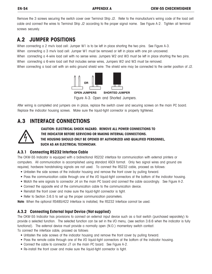Remove the 3 screws securing the switch cover over Terminal Strip J2. Refer to the manufacture's wiring code of the load cell cable and connect the wires to Terminal Strip J2 according to the proper signal name. See Figure A-2. Tighten all terminal screws securely.

# **A.2 JUMPER POSITIONS**

When connecting a 2 mv/v load cell: Jumper W1 is to be left in place shorting the two pins. See Figure A-3.

When connecting a 3 mv/v load cell: Jumper W1 must be removed or left in place with one pin uncovered.

When connecting a 4-wire load cell with no sense wires: Jumpers W2 and W3 must be left in place shorting the two pins. When connecting a 6-wire load cell that includes sense wires, Jumpers W2 and W3 must be removed.

When connecting a load cell with an extra ground shield wire: The shield wire may be connected to the center position of J2.



Figure A-3. Open and Shorted Jumpers.

After wiring is completed and jumpers are in place, replace the switch cover and securing screws on the main PC board. Replace the indicator housing screws. Make sure the liquid-tight connector is properly tightened.

# **A.3 INTERFACE CONNECTIONS**



**CAUTION: ELECTRICAL SHOCK HAZARD. REMOVE ALL POWER CONNECTIONS TO THE INDICATOR BEFORE SERVICING OR MAKING INTERNAL CONNECTIONS. THE HOUSING SHOULD ONLY BE OPENED BY AUTHORIZED AND QUALIFIED PERSONNEL, SUCH AS AN ELECTRICAL TECHNICIAN.**

# **A.3.1 Connecting RS232 Interface Cable**

The CKW-55 Indicator is equipped with a bidirectional RS232 interface for communication with external printers or computers. All communication is accomplished using standard ASCII format. Only two signal wires and ground are required, hardware handshaking signals are not used. To connect the RS232 cable, proceed as follows:

- Unfasten the side screws of the indicator housing and remove the front cover by pulling forward.
- Pass the communication cable through one of the I/O liquid-tight connectors at the bottom of the indicator housing.
- Match the wire signals to connector J4 on the main PC board and connect the cable accordingly. See Figure A-2.
- Connect the opposite end of the communication cable to the communication device.
- Reinstall the front cover and make sure the liquid-tight connector is tight.
- Refer to Section 3.6.5 to set up the proper communication parameters.

**Note**: When the optional RS485/422 Interface is installed, the RS232 Interface cannot be used.

# **A.3.2 Connecting External Input Device (Not supplied)**

The CKW-55 Indicator has provisions to connect an external input device such as a foot switch (purchased separately) to provide a selected function. The selected function can be set in the I/O menu, (see section 3.6.6 when the indicator is fully functional). The external device must provide a normally open (N.O.) momentary switch contact.

To connect the interface cable, proceed as follows:

- Unfasten the side screws of the indicator housing and remove the front cover by pulling forward.
- Pass the remote cable through one of the I/O liquid-tight connectors at the bottom of the indicator housing.
- Connect the cable to connector J7 on the main PC board. See Figure A-2.
- Re-install the front cover and make sure the liquid-tight connector is tight.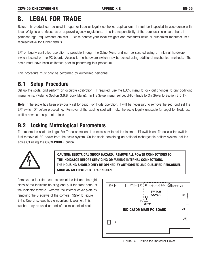# **B. LEGAL FOR TRADE**

Before this product can be used in legal-for-trade or legally controlled applications, it must be inspected in accordance with local Weights and Measures or approval agency regulations. It is the responsibility of the purchaser to ensure that all pertinent legal requirements are met. Please contact your local Weights and Measures office or authorized manufacturer's representative for further details.

LFT or legally controlled operation is possible through the Setup Menu and can be secured using an internal hardware switch located on the PC board. Access to the hardware switch may be denied using additional mechanical methods. The scale must have been calibrated prior to performing this procedure.

This procedure must only be performed by authorized personnel.

# **B.1 Setup Procedure**

Set up the scale, and perform an accurate calibration. If required, use the LOCK menu to lock out changes to any additional menu items, (Refer to Section 3.6.8, Lock Menu). In the Setup menu, set Legal-For-Trade to On (Refer to Section 3.6.1).

**Note**: If the scale has been previously set for Legal For Trade operation, it will be necessary to remove the seal and set the LFT switch Off before proceeding. Removal of the existing seal will make the scale legally unusable for Legal for Trade use until a new seal is put into place

# **B.2 Locking Metrological Parameters**

To prepare the scale for Legal For Trade operation, it is necessary to set the internal LFT switch on. To access the switch, first remove all AC power from the scale system. On the scale containing an optional rechargeable battery system, set the scale Off using the **ON/ZERO/OFF** button.



**CAUTION: ELECTRICAL SHOCK HAZARD. REMOVE ALL POWER CONNECTIONS TO THE INDICATOR BEFORE SERVICING OR MAKING INTERNAL CONNECTIONS. THE HOUSING SHOULD ONLY BE OPENED BY AUTHORIZED AND QUALIFIED PERSONNEL, SUCH AS AN ELECTRICAL TECHNICIAN.**

Remove the four flat head screws at the left and the right sides of the Indicator housing and pull the front panel of the Indicator forward. Remove the internal cover plate by removing the 3 screws at the corners, (Refer to Figure B-1). One of screws has a countersink washer. This washer may be used as part of the mechanical seal.



Figure B-1. Inside the Indicator Cover.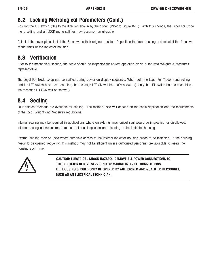# **B.2 Locking Metrological Parameters (Cont.)**

Position the LFT switch (S1) to the direction shown by the arrow. (Refer to Figure B-1.) With this change, the Legal For Trade menu setting and all LOCK menu settings now become non-alterable.

Reinstall the cover plate. Install the 3 screws to their original position. Reposition the front housing and reinstall the 4 screws at the sides of the Indicator housing.

# **B.3 Verification**

Prior to the mechanical sealing, the scale should be inspected for correct operation by an authorized Weights & Measures representative.

The Legal For Trade setup can be verified during power on display sequence. When both the Legal For Trade menu setting and the LFT switch have been enabled, the message LFT ON will be briefly shown. (If only the LFT switch has been enabled, the message LOC ON will be shown.)

# **B.4 Sealing**

Four different methods are available for sealing. The method used will depend on the scale application and the requirements of the local Weight and Measures regulations.

Internal sealing may be required in applications where an external mechanical seal would be impractical or disallowed. Internal sealing allows for more frequent internal inspection and cleaning of the Indicator housing.

External sealing may be used where complete access to the internal Indicator housing needs to be restricted. If the housing needs to be opened frequently, this method may not be efficient unless authorized personnel are available to reseal the housing each time.



**CAUTION: ELECTRICAL SHOCK HAZARD. REMOVE ALL POWER CONNECTIONS TO THE INDICATOR BEFORE SERVICING OR MAKING INTERNAL CONNECTIONS. THE HOUSING SHOULD ONLY BE OPENED BY AUTHORIZED AND QUALIFIED PERSONNEL, SUCH AS AN ELECTRICAL TECHNICIAN.**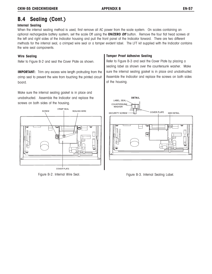# **B.4 Sealing (Cont.)**

#### **Internal Sealing**

When the internal sealing method is used, first remove all AC power from the scale system. On scales containing an optional rechargeable battery system, set the scale Off using the **ON/ZERO Off** button. Remove the four flat head screws at the left and right sides of the Indicator housing and pull the front panel of the Indicator forward.There are two different methods for the internal seal, a crimped wire seal or a tamper evident label. The LFT kit supplied with the Indicator contains the wire seal components.

#### **Wire Sealing**

Refer to Figure B-2 and seal the Cover Plate as shown.

**IMPORTANT:** Trim any excess wire length protruding from the crimp seal to prevent the wire from touching the printed circuit board.

Make sure the internal sealing gasket is in place and unobstructed. Assemble the Indicator and replace the screws on both sides of the housing.



Figure B-2. Internal Wire Seal.

#### **Tamper Proof Adhesive Sealing**

Refer to Figure B-3 and seal the Cover Plate by placing a sealing label as shown over the countersunk washer. Make sure the internal sealing gasket is in place and unobstructed. Assemble the Indicator and replace the screws on both sides of the housing.



Figure B-3. Internal Sealing Label.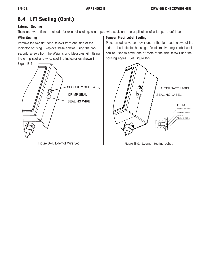# **B.4 LFT Sealing (Cont.)**

#### **External Sealing**

There are two different methods for external sealing, a crimped wire seal, and the application of a tamper proof label.

#### **Wire Sealing**

Remove the two flat head screws from one side of the Indicator housing. Replace these screws using the two security screws from the Weights and Measures kit. Using the crimp seal and wire, seal the Indicator as shown in



### **Tamper Proof Label Sealing**

Place an adhesive seal over one of the flat head screws at the side of the Indicator housing. An alternative larger label seal, can be used to cover one or more of the side screws and the housing edges. See Figure B-5.



Figure B-4. External Wire Seal. **Figure B-5. External Sealing Label.** Figure B-5. External Sealing Label.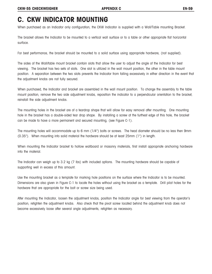# **C. CKW INDICATOR MOUNTING**

When purchased as an Indicator only configuration, the CKW Indicator is supplied with a Wall/Table mounting Bracket.

The bracket allows the Indicator to be mounted to a vertical wall surface or to a table or other appropriate flat horizontal surface.

For best performance, the bracket should be mounted to a solid surface using appropriate hardware, (not supplied).

The sides of the Wall/table mount bracket contain slots that allow the user to adjust the angle of the Indicator for best viewing. The bracket has two sets of slots. One slot is utilized in the wall mount position, the other in the table mount position. A separation between the two slots prevents the Indicator from falling excessively in either direction in the event that the adjustment knobs are not fully secured.

When purchased, the Indicator and bracket are assembled in the wall mount position. To change the assembly to the table mount position, remove the two side adjustment knobs, reposition the indicator to a perpendicular orientation to the bracket, reinstall the side adjustment knobs.

The mounting holes in the bracket are of a teardrop shape that will allow for easy removal after mounting. One mounting hole in the bracket has a double-sided tear drop shape. By installing a screw at the furthest edge of this hole, the bracket can be made to have a more permanent and secured mounting, (see Figure C-1).

The mounting holes will accommodate up to 6 mm (1/4") bolts or screws. The head diameter should be no less then 9mm (0.35"). When mounting into solid material the hardware should be at least 25mm (1") in length.

When mounting the Indicator bracket to hollow wallboard or masonry materials, first install appropriate anchoring hardware into the material.

The Indicator can weigh up to 3.2 kg (7 lbs) with included options. The mounting hardware should be capable of supporting well in excess of this amount.

Use the mounting bracket as a template for marking hole positions on the surface where the Indicator is to be mounted. Dimensions are also given in Figure C-1 to locate the holes without using the bracket as a template. Drill pilot holes for the hardware that are appropriate for the bolt or screw size being used.

After mounting the Indicator, loosen the adjustment knobs, position the Indicator angle for best viewing from the operator's position, retighten the adjustment knobs. Also check that the pivot screw located behind the adjustment knob does not become excessively loose after several angle adjustments, retighten as necessary.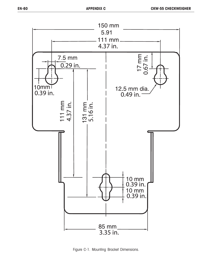

Figure C-1. Mounting Bracket Dimensions.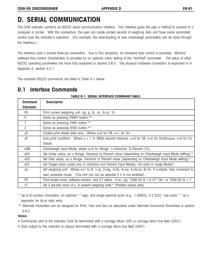# **D. SERIAL COMMUNICATION**

The CKW Indicator contains an RS232 serial communication interface. This interface gives the user a method to connect to a computer or printer. With this connection, the user can create printed records of weighing data and have some automated control over the Indicator's operation. (For example, the downloading of new checkweigh parameters can be done through the interface.)

The interface uses a simple three-pin connection. Due to this simplicity, no hardware flow control is provided. Minimal software flow control (handshake) is provided by an optional menu setting of the "Xon/Xoff" parameter. The setup of other RS232 operating parameters are more fully explained in section 3.6.5. The physical hardware connection is explained in in Appendix A, section A.3.1.

The available RS232 commands are listed in Table D-1 below.

# **D.1 Interface Commands**

| <b>Command</b>   | <b>Description</b>                                                                                              |
|------------------|-----------------------------------------------------------------------------------------------------------------|
| <b>Character</b> |                                                                                                                 |
| PU               | Print current weighing unit: kg, g, lb, oz, lb:oz, %.                                                           |
| P                | Same as pressing PRINT button.**                                                                                |
| $\mathsf{T}$     | Same as pressing TARE button.**                                                                                 |
| Z                | Same as pressing ZERO button.**                                                                                 |
| xS               | Enable print stable data only. Where $x=0$ for Off, $x=1$ for On.                                               |
| χP               | Auto print condition. Where $x = 1$ to 3600 second intervals, $x=0$ for Off, $x=C$ for Continuous, $x=S$ for On |
|                  | Stable.                                                                                                         |
| <b>xCM</b>       | Checkweigh Input Mode, where x=0 for Range, 1=Variance, 2=Percent (%).                                          |
| xCU              | Set Under value, as a Range, Variance or Percent value (depending on Checkweigh Input Mode setting).*           |
| xCO              | Set Over value, as a Range, Variance or Percent value (depending on Checkweigh Input Mode setting).*            |
| xCT              | Set Target value (used only in Variance and Percent Input Modes, not used in range Mode)*.                      |
| xU               | Set weighing unit: Where x=1 to 6, 1=g, 2=kg, 3=lb, 4=oz, 5=lb:ox, 6=%, if x=blank, then increment to           |
|                  | next available mode. (The unit can not be selected if it is not enabled).                                       |
| PV               | Print model name, software revision, and LFT status - if on, (eg. "CKW-55 Sr 1.0 LFT "On", or "CKW-55 Sr 1.1"   |
| хT               | Set a pre-tare value of x, in present weighing units.* (Positive values only)                                   |

#### **TABLE D-1. SERIAL INTERFACE COMMAND TABLE.**

\* Up to 6 numeric characters, an optional "-" sign, and single decimal point (e.g., 1.000CU, 2:3.2CU) Use colon ":" as a separator for lb:oz data entry.

\*\* Alternate characters can be assigned for Print, Tare and Zero as described under Alternate Command Characters in section 3.6.5.

### **Notes**:

- Commands sent to the indicator must be terminated with a carriage return (CR) or carriage return-line feed (CRLF).
- Data output by the indicator is always terminated with a carriage return-line feed (CRLF).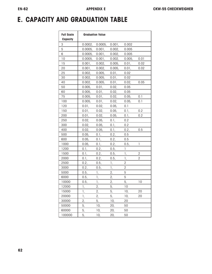# **E. CAPACITY AND GRADUATION TABLE**

| <b>Full Scale</b><br><b>Capacity</b> | <b>Graduation Value</b> |                |               |                 |                |  |
|--------------------------------------|-------------------------|----------------|---------------|-----------------|----------------|--|
| 3                                    | 0.0002,                 | 0.0005,        | 0.001,        | 0.002           |                |  |
| 5                                    | 0.0005,                 | 0.001,         | 0.002,        | 0.005           |                |  |
| 6                                    | 0.0005,                 | 0.001,         | 0.002,        | 0.005           |                |  |
| 10                                   | 0.0005,                 | 0.001,         | 0.002,        | 0.005,          | 0.01           |  |
| 15                                   | 0.001,                  | 0.002,         | 0.005,        | 0.01,           | 0.02           |  |
| 20                                   | 0.001,                  | 0.002,         | 0.005,        | 0.01,           | 0.02           |  |
| 25                                   | 0.002,                  | 0.005,         | 0.01,         | 0.02            |                |  |
| 30                                   | 0.002,                  | 0.005,         | 0.01,         | 0.02            |                |  |
| 40                                   | 0.002,                  | 0.005,         | 0.01,         | 0.02,           | 0.05           |  |
| 50                                   | 0.005,                  | 0.01,          | 0.02,         | 0.05            |                |  |
| 60                                   | 0.005,                  | 0.01,          | 0.02,         | 0.05            |                |  |
| 75                                   | 0.005,                  | 0.01,          | 0.02,         | 0.05,           | 0.1            |  |
| 100                                  | 0.005,                  | 0.01,          | 0.02,         | 0.05,           | 0.1            |  |
| 120                                  | 0.01,                   | 0.02,          | 0.05,         | 0.1             |                |  |
| 150                                  | 0.01,                   | 0.02,          | 0.05,         | 0.1,            | 0.2            |  |
| 200                                  | 0.01,                   | 0.02,          | 0.05,         | 0.1,            | 0.2            |  |
| 250                                  | 0.02,                   | 0.05,          | 0.1,          | 0.2             |                |  |
| 300                                  | 0.02,                   | 0.05,          | 0.1,          | 0.2             |                |  |
| 400                                  | 0.02,                   | 0.05,          | 0.1,          | 0.2,            | 0.5            |  |
| 500                                  | 0.05,                   | 0.1,           | 0.2,          | 0.5             |                |  |
| 600                                  | 0.05,                   | 0.1,           | 0.2,          | 0.5             |                |  |
| 1000                                 | 0.05,                   | 0.1,           | 0.2,          | 0.5,            | 1              |  |
| 1200                                 | 0.1,                    | 0.2,           | 0.5,          | 1               |                |  |
| 1500                                 | 0.1,                    | 0.2,           | 0.5,          | 1,              | $\overline{2}$ |  |
| 2000                                 | 0.1,                    | 0.2,           | 0.5,          | 1,              | $\overline{2}$ |  |
| 2500                                 | 0.2,                    | 0.5,           | 1,            | $\overline{2}$  |                |  |
| 3000                                 | 0.2,                    | 0.5,           | $\frac{1}{2}$ | $\overline{2}$  |                |  |
| 5000                                 | 0.5,                    | $1\frac{1}{2}$ | 2,            | 5               |                |  |
| 6000                                 | 0.5,                    | $\mathbb{I}_2$ | 2,            | 5               |                |  |
| 10000                                | 0.5,                    | $\mathbb{I}_4$ | $2^{2}$       | 5,              | 10             |  |
| 12000                                | 1,                      | 2,             | 5,            | $\overline{10}$ |                |  |
| 15000                                | 1,                      | 2,             | 5,            | 10,             | 20             |  |
| 20000                                | 1,                      | 2,             | 5,            | 10,             | 20             |  |
| 30000                                | 2,                      | 5,             | 10,           | 20              |                |  |
| 50000                                | 5,                      | 10,            | 20,           | 50              |                |  |
| 60000                                | 5,                      | 10,            | 20,           | 50              |                |  |
| 100000                               | 5,                      | 10,            | 20,           | 50              |                |  |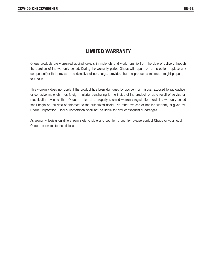# **LIMITED WARRANTY**

Ohaus products are warranted against defects in materials and workmanship from the date of delivery through the duration of the warranty period. During the warranty period Ohaus will repair, or, at its option, replace any component(s) that proves to be defective at no charge, provided that the product is returned, freight prepaid, to Ohaus.

This warranty does not apply if the product has been damaged by accident or misuse, exposed to radioactive or corrosive materials, has foreign material penetrating to the inside of the product, or as a result of service or modification by other than Ohaus. In lieu of a properly returned warranty registration card, the warranty period shall begin on the date of shipment to the authorized dealer. No other express or implied warranty is given by Ohaus Corporation. Ohaus Corporation shall not be liable for any consequential damages.

As warranty legislation differs from state to state and country to country, please contact Ohaus or your local Ohaus dealer for further details.